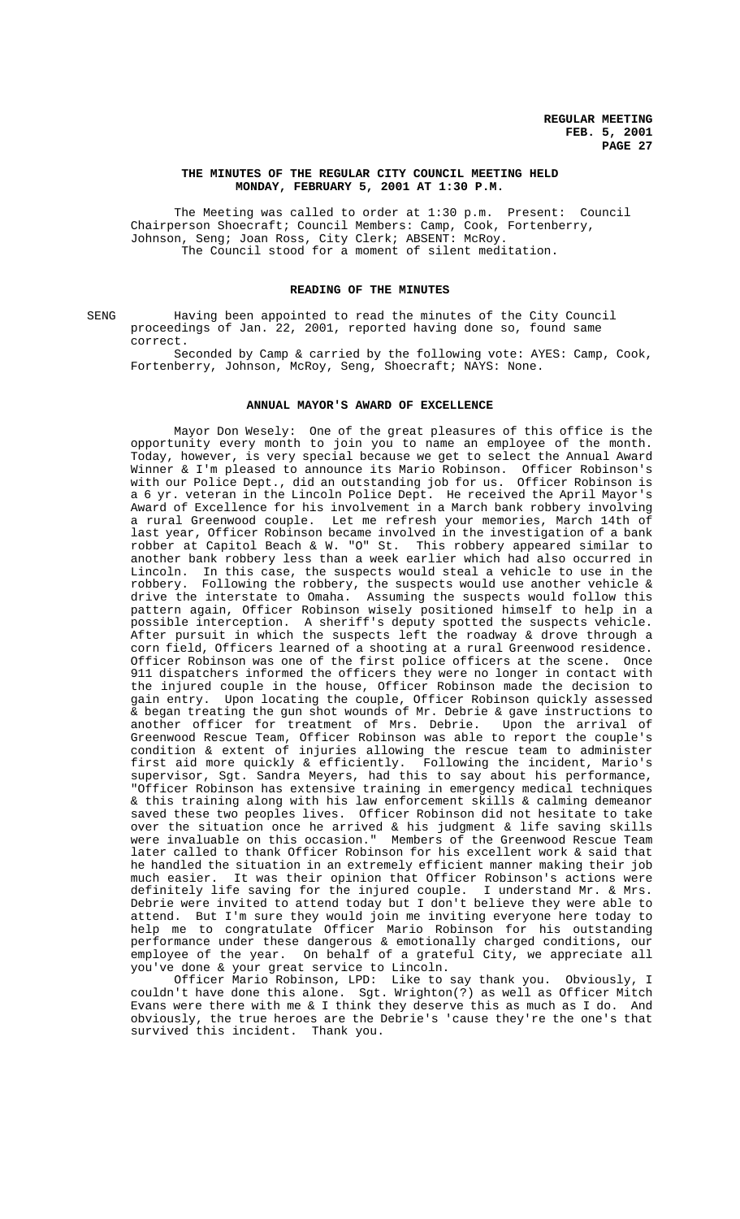#### **THE MINUTES OF THE REGULAR CITY COUNCIL MEETING HELD MONDAY, FEBRUARY 5, 2001 AT 1:30 P.M.**

The Meeting was called to order at 1:30 p.m. Present: Council Chairperson Shoecraft; Council Members: Camp, Cook, Fortenberry, Johnson, Seng; Joan Ross, City Clerk; ABSENT: McRoy. The Council stood for a moment of silent meditation.

# **READING OF THE MINUTES**

SENG Having been appointed to read the minutes of the City Council proceedings of Jan. 22, 2001, reported having done so, found same correct.

Seconded by Camp & carried by the following vote: AYES: Camp, Cook, Fortenberry, Johnson, McRoy, Seng, Shoecraft; NAYS: None.

#### **ANNUAL MAYOR'S AWARD OF EXCELLENCE**

Mayor Don Wesely: One of the great pleasures of this office is the opportunity every month to join you to name an employee of the month. Today, however, is very special because we get to select the Annual Award Winner & I'm pleased to announce its Mario Robinson. Officer Robinson's with our Police Dept., did an outstanding job for us. Officer Robinson is a 6 yr. veteran in the Lincoln Police Dept. He received the April Mayor's Award of Excellence for his involvement in a March bank robbery involving<br>a rural Greenwood couple. Let me refresh your memories, March 14th of Let me refresh your memories, March 14th of last year, Officer Robinson became involved in the investigation of a bank robber at Capitol Beach & W. "O" St. This robbery appeared similar to another bank robbery less than a week earlier which had also occurred in Lincoln. In this case, the suspects would steal a vehicle to use in the robbery. Following the robbery, the suspects would use another vehicle & drive the interstate to Omaha. Assuming the suspects would follow this pattern again, Officer Robinson wisely positioned himself to help in a possible interception. A sheriff's deputy spotted the suspects vehicle. After pursuit in which the suspects left the roadway & drove through a corn field, Officers learned of a shooting at a rural Greenwood residence. Officer Robinson was one of the first police officers at the scene. Once 911 dispatchers informed the officers they were no longer in contact with the injured couple in the house, Officer Robinson made the decision to gain entry. Upon locating the couple, Officer Robinson quickly assessed & began treating the gun shot wounds of Mr. Debrie & gave instructions to another officer for treatment of Mrs. Debrie. Upon the arrival of Greenwood Rescue Team, Officer Robinson was able to report the couple's condition & extent of injuries allowing the rescue team to administer first aid more quickly & efficiently. Following the incident, Mario's supervisor, Sgt. Sandra Meyers, had this to say about his performance, "Officer Robinson has extensive training in emergency medical techniques & this training along with his law enforcement skills & calming demeanor saved these two peoples lives. Officer Robinson did not hesitate to take over the situation once he arrived & his judgment & life saving skills were invaluable on this occasion." Members of the Greenwood Rescue Team later called to thank Officer Robinson for his excellent work & said that he handled the situation in an extremely efficient manner making their job<br>much easier. It was their opinion that Officer Robinson's actions were It was their opinion that Officer Robinson's actions were definitely life saving for the injured couple. I understand Mr. & Mrs. Debrie were invited to attend today but I don't believe they were able to attend. But I'm sure they would join me inviting everyone here today to help me to congratulate Officer Mario Robinson for his outstanding performance under these dangerous & emotionally charged conditions, our employee of the year. On behalf of a grateful City, we appreciate all you've done & your great service to Lincoln.

Officer Mario Robinson, LPD: Like to say thank you. Obviously, I couldn't have done this alone. Sgt. Wrighton(?) as well as Officer Mitch Evans were there with me & I think they deserve this as much as I do. And obviously, the true heroes are the Debrie's 'cause they're the one's that survived this incident. Thank you.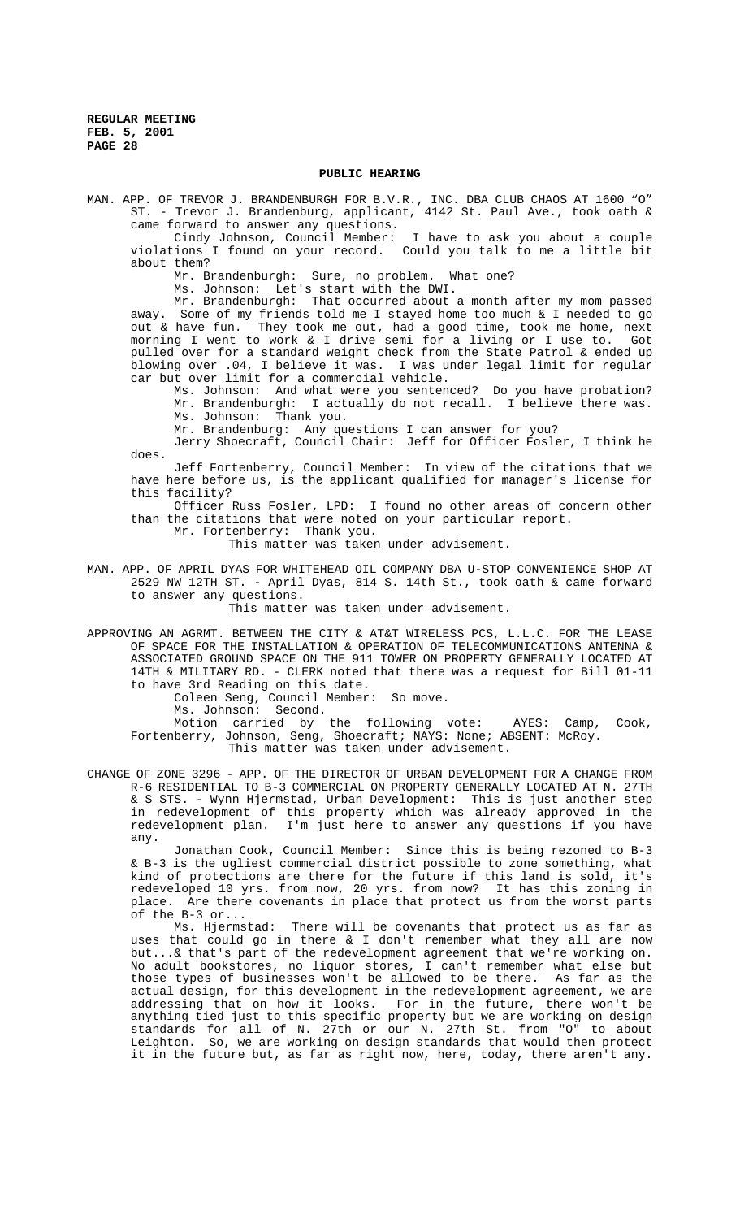#### **PUBLIC HEARING**

MAN. APP. OF TREVOR J. BRANDENBURGH FOR B.V.R., INC. DBA CLUB CHAOS AT 1600 "O" ST. - Trevor J. Brandenburg, applicant, 4142 St. Paul Ave., took oath &

came forward to answer any questions.<br>Cindy Johnson, Council Member: I have to ask you about a couple violations I found on your record. Could you talk to me a little bit about them?

Mr. Brandenburgh: Sure, no problem. What one?

Ms. Johnson: Let's start with the DWI.

Mr. Brandenburgh: That occurred about a month after my mom passed away. Some of my friends told me I stayed home too much & I needed to go out & have fun. They took me out, had a good time, took me home, next morning I went to work & I drive semi for a living or I use to. Got pulled over for a standard weight check from the State Patrol & ended up blowing over .04, I believe it was. I was under legal limit for regular car but over limit for a commercial vehicle.

Ms. Johnson: And what were you sentenced? Do you have probation? Mr. Brandenburgh: I actually do not recall. I believe there was. Ms. Johnson: Thank you.

Mr. Brandenburg: Any questions I can answer for you?

Jerry Shoecraft, Council Chair: Jeff for Officer Fosler, I think he does.

Jeff Fortenberry, Council Member: In view of the citations that we have here before us, is the applicant qualified for manager's license for this facility?

Officer Russ Fosler, LPD: I found no other areas of concern other than the citations that were noted on your particular report.

Mr. Fortenberry: Thank you.

This matter was taken under advisement.

MAN. APP. OF APRIL DYAS FOR WHITEHEAD OIL COMPANY DBA U-STOP CONVENIENCE SHOP AT 2529 NW 12TH ST. - April Dyas, 814 S. 14th St., took oath & came forward to answer any questions.

This matter was taken under advisement.

APPROVING AN AGRMT. BETWEEN THE CITY & AT&T WIRELESS PCS, L.L.C. FOR THE LEASE OF SPACE FOR THE INSTALLATION & OPERATION OF TELECOMMUNICATIONS ANTENNA & ASSOCIATED GROUND SPACE ON THE 911 TOWER ON PROPERTY GENERALLY LOCATED AT 14TH & MILITARY RD. - CLERK noted that there was a request for Bill 01-11 to have 3rd Reading on this date.

Coleen Seng, Council Member: So move.

Ms. Johnson: Second.

Motion carried by the following vote: AYES: Camp, Cook, Fortenberry, Johnson, Seng, Shoecraft; NAYS: None; ABSENT: McRoy. This matter was taken under advisement.

CHANGE OF ZONE 3296 - APP. OF THE DIRECTOR OF URBAN DEVELOPMENT FOR A CHANGE FROM R-6 RESIDENTIAL TO B-3 COMMERCIAL ON PROPERTY GENERALLY LOCATED AT N. 27TH & S STS. - Wynn Hjermstad, Urban Development: This is just another step in redevelopment of this property which was already approved in the redevelopment plan. I'm just here to answer any questions if you have any.

Jonathan Cook, Council Member: Since this is being rezoned to B-3 & B-3 is the ugliest commercial district possible to zone something, what kind of protections are there for the future if this land is sold, it's redeveloped 10 yrs. from now, 20 yrs. from now? It has this zoning in place. Are there covenants in place that protect us from the worst parts of the B-3 or...

Ms. Hjermstad: There will be covenants that protect us as far as uses that could go in there & I don't remember what they all are now but...& that's part of the redevelopment agreement that we're working on. No adult bookstores, no liquor stores, I can't remember what else but those types of businesses won't be allowed to be there. As far as the actual design, for this development in the redevelopment agreement, we are addressing that on how it looks. For in the future, there won't be anything tied just to this specific property but we are working on design standards for all of N. 27th or our N. 27th St. from "O" to about Leighton. So, we are working on design standards that would then protect it in the future but, as far as right now, here, today, there aren't any.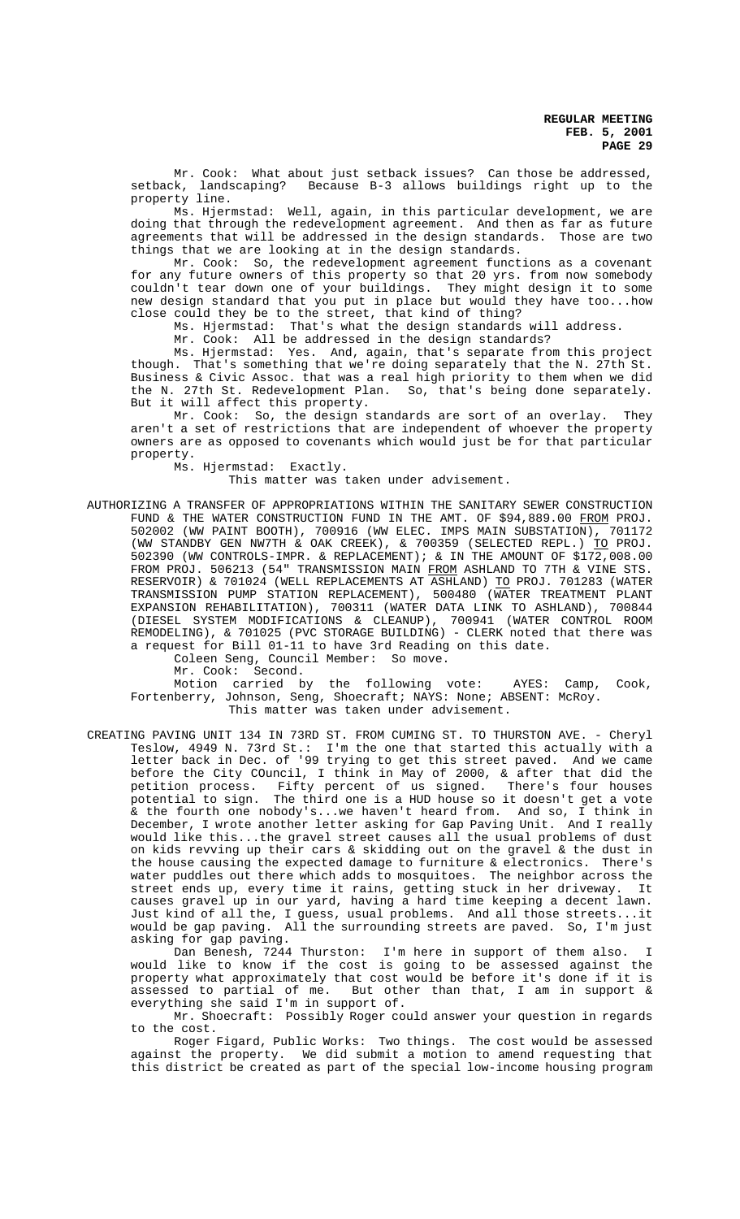Mr. Cook: What about just setback issues? Can those be addressed, setback, landscaping? Because B-3 allows buildings right up to the Because B-3 allows buildings right up to the property line.

Ms. Hjermstad: Well, again, in this particular development, we are doing that through the redevelopment agreement. And then as far as future agreements that will be addressed in the design standards. Those are two things that we are looking at in the design standards.

Mr. Cook: So, the redevelopment agreement functions as a covenant for any future owners of this property so that 20 yrs. from now somebody couldn't tear down one of your buildings. They might design it to some new design standard that you put in place but would they have too...how close could they be to the street, that kind of thing?<br>Ms. Hjermstad: That's what the design standards

That's what the design standards will address.

Mr. Cook: All be addressed in the design standards?

Ms. Hjermstad: Yes. And, again, that's separate from this project though. That's something that we're doing separately that the N. 27th St. Business & Civic Assoc. that was a real high priority to them when we did the N. 27th St. Redevelopment Plan. So, that's being done separately. But it will affect this property.

Mr. Cook: So, the design standards are sort of an overlay. They aren't a set of restrictions that are independent of whoever the property owners are as opposed to covenants which would just be for that particular property.

Ms. Hjermstad: Exactly.

This matter was taken under advisement.

AUTHORIZING A TRANSFER OF APPROPRIATIONS WITHIN THE SANITARY SEWER CONSTRUCTION FUND & THE WATER CONSTRUCTION FUND IN THE AMT. OF \$94,889.00 FROM PROJ. 502002 (WW PAINT BOOTH), 700916 (WW ELEC. IMPS MAIN SUBSTATION), 701172 (WW STANDBY GEN NW7TH & OAK CREEK), & 700359 (SELECTED REPL.) TO PROJ. 502390 (WW CONTROLS-IMPR. & REPLACEMENT); & IN THE AMOUNT OF \$172,008.00 FROM PROJ. 506213 (54" TRANSMISSION MAIN FROM ASHLAND TO 7TH & VINE STS. RESERVOIR) & 701024 (WELL REPLACEMENTS AT ASHLAND) TO PROJ. 701283 (WATER TRANSMISSION PUMP STATION REPLACEMENT), 500480 (WATER TREATMENT PLANT EXPANSION REHABILITATION), 700311 (WATER DATA LINK TO ASHLAND), 700844 (DIESEL SYSTEM MODIFICATIONS & CLEANUP), 700941 (WATER CONTROL ROOM REMODELING), & 701025 (PVC STORAGE BUILDING) - CLERK noted that there was a request for Bill 01-11 to have 3rd Reading on this date.

Coleen Seng, Council Member: So move.

Mr. Cook: Second.

Motion carried by the following vote: AYES: Camp, Cook, Fortenberry, Johnson, Seng, Shoecraft; NAYS: None; ABSENT: McRoy. This matter was taken under advisement.

CREATING PAVING UNIT 134 IN 73RD ST. FROM CUMING ST. TO THURSTON AVE. - Cheryl Teslow, 4949 N. 73rd St.: I'm the one that started this actually with a letter back in Dec. of '99 trying to get this street paved. And we came before the City COuncil, I think in May of 2000, & after that did the petition process. Fifty percent of us signed. There's four houses potential to sign. The third one is a HUD house so it doesn't get a vote & the fourth one nobody's...we haven't heard from. And so, I think in December, I wrote another letter asking for Gap Paving Unit. And I really would like this...the gravel street causes all the usual problems of dust on kids revving up their cars & skidding out on the gravel & the dust in the house causing the expected damage to furniture & electronics. There's water puddles out there which adds to mosquitoes. The neighbor across the street ends up, every time it rains, getting stuck in her driveway. It causes gravel up in our yard, having a hard time keeping a decent lawn. Just kind of all the, I guess, usual problems. And all those streets...it would be gap paving. All the surrounding streets are paved. So, I'm just asking for gap paving.

Dan Benesh, 7244 Thurston: I'm here in support of them also. I would like to know if the cost is going to be assessed against the property what approximately that cost would be before it's done if it is assessed to partial of me. But other than that, I am in support & everything she said I'm in support of.

Mr. Shoecraft: Possibly Roger could answer your question in regards to the cost.

Roger Figard, Public Works: Two things. The cost would be assessed against the property. We did submit a motion to amend requesting that this district be created as part of the special low-income housing program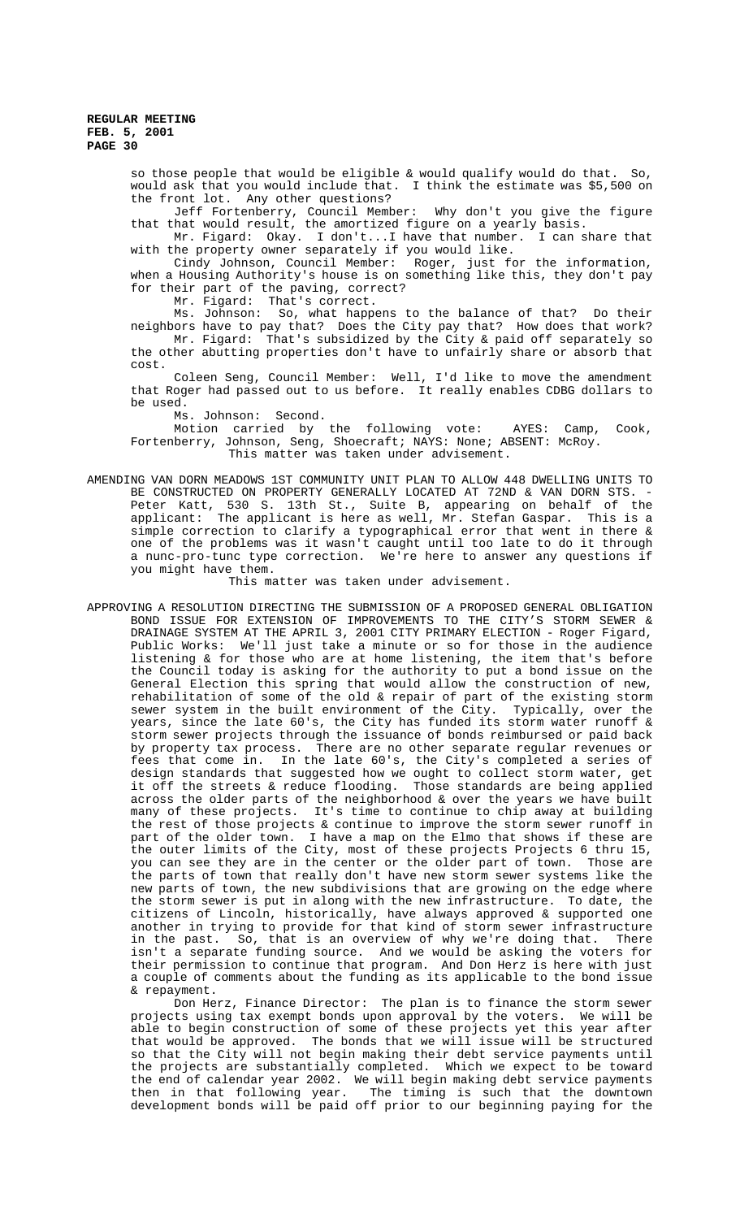so those people that would be eligible & would qualify would do that. So, would ask that you would include that. I think the estimate was \$5,500 on the front lot. Any other questions?<br>Jeff Fortenberry, Council Member:

Jeff Fortenberry, Council Member: Why don't you give the figure that that would result, the amortized figure on a yearly basis.

Mr. Figard: Okay. I don't...I have that number. I can share that with the property owner separately if you would like.

Cindy Johnson, Council Member: Roger, just for the information, when a Housing Authority's house is on something like this, they don't pay for their part of the paving, correct?

Mr. Figard: That's correct.

Ms. Johnson: So, what happens to the balance of that? Do their neighbors have to pay that? Does the City pay that? How does that work? Mr. Figard: That's subsidized by the City & paid off separately so the other abutting properties don't have to unfairly share or absorb that cost.

Coleen Seng, Council Member: Well, I'd like to move the amendment that Roger had passed out to us before. It really enables CDBG dollars to be used.

Ms. Johnson: Second.

Motion carried by the following vote: AYES: Camp, Cook, Fortenberry, Johnson, Seng, Shoecraft; NAYS: None; ABSENT: McRoy. This matter was taken under advisement.

AMENDING VAN DORN MEADOWS 1ST COMMUNITY UNIT PLAN TO ALLOW 448 DWELLING UNITS TO BE CONSTRUCTED ON PROPERTY GENERALLY LOCATED AT 72ND & VAN DORN STS. -Peter Katt, 530 S. 13th St., Suite B, appearing on behalf of the applicant: The applicant is here as well, Mr. Stefan Gaspar. This is a simple correction to clarify a typographical error that went in there & one of the problems was it wasn't caught until too late to do it through a nunc-pro-tunc type correction. We're here to answer any questions if you might have them.

This matter was taken under advisement.

APPROVING A RESOLUTION DIRECTING THE SUBMISSION OF A PROPOSED GENERAL OBLIGATION BOND ISSUE FOR EXTENSION OF IMPROVEMENTS TO THE CITY'S STORM SEWER & DRAINAGE SYSTEM AT THE APRIL 3, 2001 CITY PRIMARY ELECTION - Roger Figard, Public Works: We'll just take a minute or so for those in the audience listening & for those who are at home listening, the item that's before the Council today is asking for the authority to put a bond issue on the General Election this spring that would allow the construction of new, rehabilitation of some of the old & repair of part of the existing storm sewer system in the built environment of the City. Typically, over the years, since the late 60's, the City has funded its storm water runoff & storm sewer projects through the issuance of bonds reimbursed or paid back by property tax process. There are no other separate regular revenues or fees that come in. In the late 60's, the City's completed a series of design standards that suggested how we ought to collect storm water, get it off the streets & reduce flooding. Those standards are being applied across the older parts of the neighborhood & over the years we have built many of these projects. It's time to continue to chip away at building the rest of those projects & continue to improve the storm sewer runoff in part of the older town. I have a map on the Elmo that shows if these are the outer limits of the City, most of these projects Projects 6 thru 15, you can see they are in the center or the older part of town. Those are the parts of town that really don't have new storm sewer systems like the new parts of town, the new subdivisions that are growing on the edge where the storm sewer is put in along with the new infrastructure. To date, the citizens of Lincoln, historically, have always approved & supported one another in trying to provide for that kind of storm sewer infrastructure in the past. So, that is an overview of why we're doing that. There isn't a separate funding source. And we would be asking the voters for their permission to continue that program. And Don Herz is here with just a couple of comments about the funding as its applicable to the bond issue & repayment.

Don Herz, Finance Director: The plan is to finance the storm sewer projects using tax exempt bonds upon approval by the voters. We will be able to begin construction of some of these projects yet this year after that would be approved. The bonds that we will issue will be structured so that the City will not begin making their debt service payments until the projects are substantially completed. Which we expect to be toward the end of calendar year 2002. We will begin making debt service payments then in that following year. The timing is such that the downtown development bonds will be paid off prior to our beginning paying for the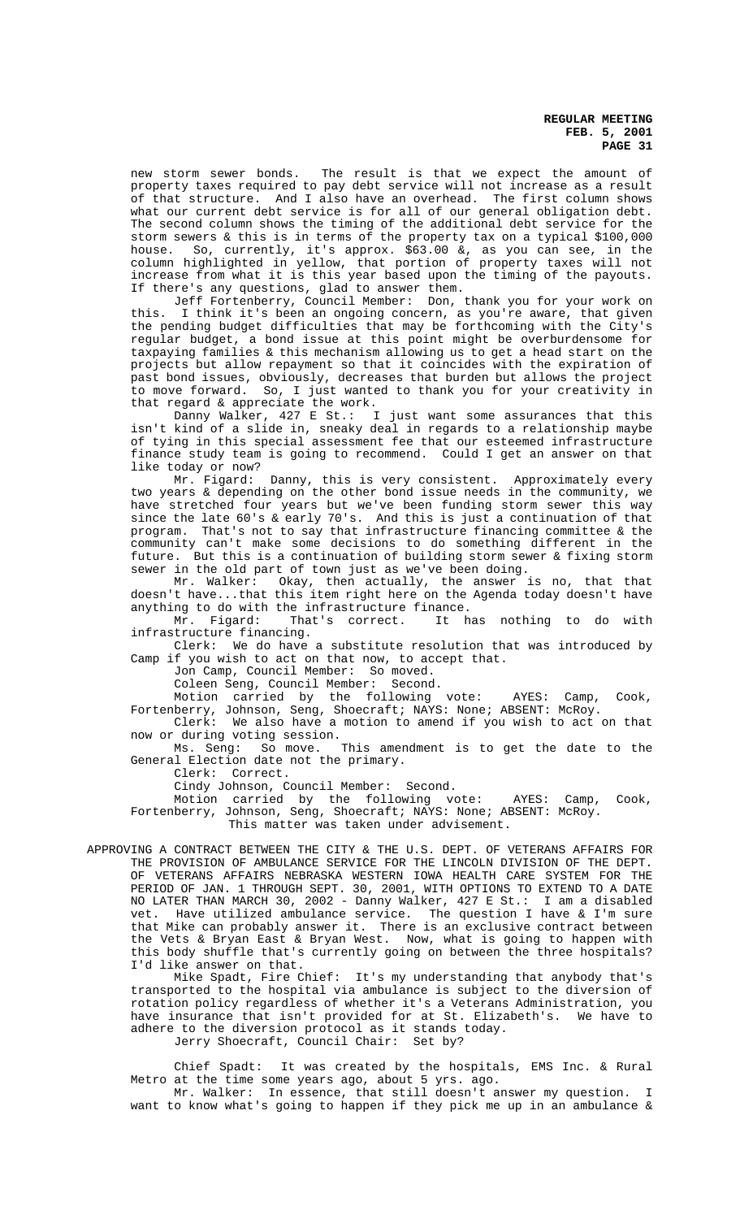new storm sewer bonds. The result is that we expect the amount of property taxes required to pay debt service will not increase as a result of that structure. And I also have an overhead. The first column shows what our current debt service is for all of our general obligation debt. The second column shows the timing of the additional debt service for the storm sewers & this is in terms of the property tax on a typical \$100,000 house. So, currently, it's approx. \$63.00 &, as you can see, in the column highlighted in yellow, that portion of property taxes will not increase from what it is this year based upon the timing of the payouts. If there's any questions, glad to answer them.

Jeff Fortenberry, Council Member: Don, thank you for your work on this. I think it's been an ongoing concern, as you're aware, that given the pending budget difficulties that may be forthcoming with the City's regular budget, a bond issue at this point might be overburdensome for taxpaying families & this mechanism allowing us to get a head start on the projects but allow repayment so that it coincides with the expiration of past bond issues, obviously, decreases that burden but allows the project to move forward. So, I just wanted to thank you for your creativity in that regard & appreciate the work.

Danny Walker, 427 E St.: I just want some assurances that this isn't kind of a slide in, sneaky deal in regards to a relationship maybe of tying in this special assessment fee that our esteemed infrastructure<br>finance study team is going to recommend. Could I get an answer on that finance study team is going to recommend. like today or now?

Mr. Figard: Danny, this is very consistent. Approximately every two years & depending on the other bond issue needs in the community, we have stretched four years but we've been funding storm sewer this way since the late 60's & early 70's. And this is just a continuation of that program. That's not to say that infrastructure financing committee & the community can't make some decisions to do something different in the future. But this is a continuation of building storm sewer & fixing storm sewer in the old part of town just as we've been doing.

Mr. Walker: Okay, then actually, the answer is no, that that doesn't have...that this item right here on the Agenda today doesn't have anything to do with the infrastructure finance.

Mr. Figard: That's correct. It has nothing to do with infrastructure financing.

Clerk: We do have a substitute resolution that was introduced by Camp if you wish to act on that now, to accept that.

Jon Camp, Council Member: So moved.

Coleen Seng, Council Member: Second.

Motion carried by the following vote: AYES: Camp, Cook, Fortenberry, Johnson, Seng, Shoecraft; NAYS: None; ABSENT: McRoy.

Clerk: We also have a motion to amend if you wish to act on that now or during voting session.

Ms. Seng: So move. This amendment is to get the date to the General Election date not the primary.

Clerk: Correct.

Cindy Johnson, Council Member: Second.

Motion carried by the following vote: AYES: Camp, Cook, Fortenberry, Johnson, Seng, Shoecraft; NAYS: None; ABSENT: McRoy.

This matter was taken under advisement.

APPROVING A CONTRACT BETWEEN THE CITY & THE U.S. DEPT. OF VETERANS AFFAIRS FOR THE PROVISION OF AMBULANCE SERVICE FOR THE LINCOLN DIVISION OF THE DEPT. OF VETERANS AFFAIRS NEBRASKA WESTERN IOWA HEALTH CARE SYSTEM FOR THE PERIOD OF JAN. 1 THROUGH SEPT. 30, 2001, WITH OPTIONS TO EXTEND TO A DATE NO LATER THAN MARCH 30, 2002 - Danny Walker, 427 E St.: I am a disabled vet. Have utilized ambulance service. The question I have & I'm sure that Mike can probably answer it. There is an exclusive contract between the Vets & Bryan East & Bryan West. Now, what is going to happen with this body shuffle that's currently going on between the three hospitals? I'd like answer on that.

Mike Spadt, Fire Chief: It's my understanding that anybody that's transported to the hospital via ambulance is subject to the diversion of rotation policy regardless of whether it's a Veterans Administration, you have insurance that isn't provided for at St. Elizabeth's. We have to adhere to the diversion protocol as it stands today.

Jerry Shoecraft, Council Chair: Set by?

Chief Spadt: It was created by the hospitals, EMS Inc. & Rural Metro at the time some years ago, about 5 yrs. ago.

Mr. Walker: In essence, that still doesn't answer my question. I want to know what's going to happen if they pick me up in an ambulance &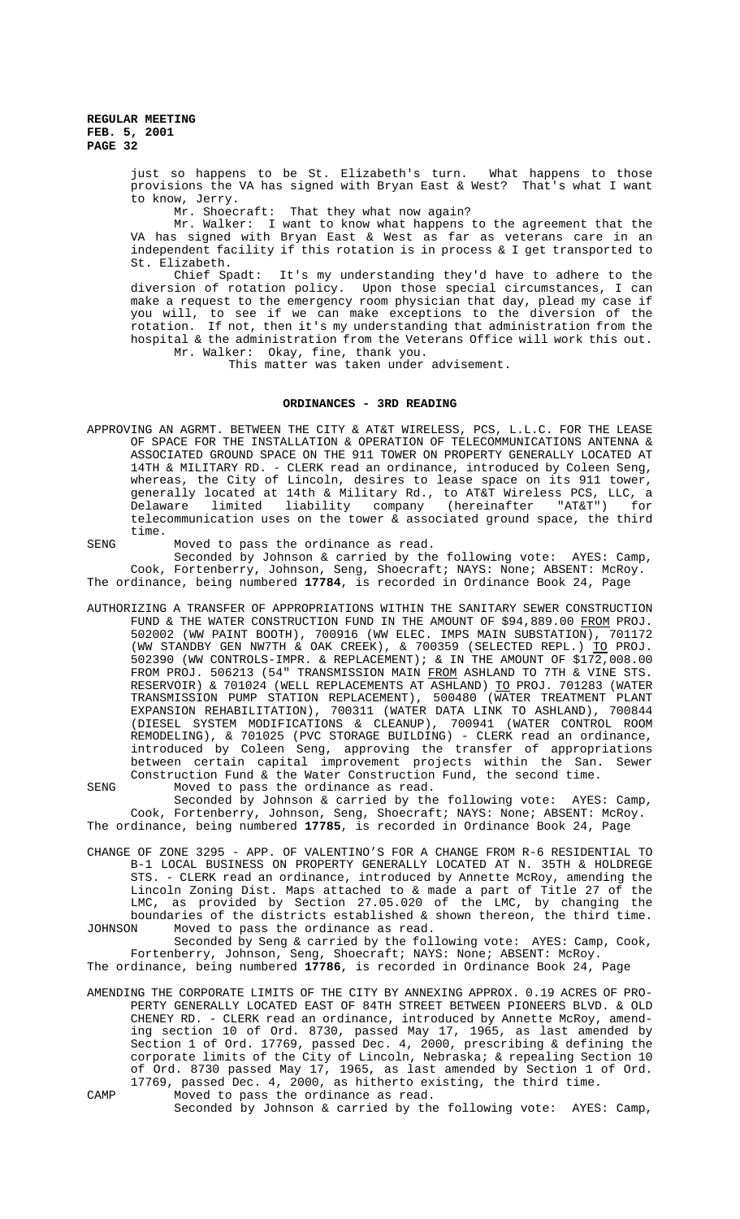> just so happens to be St. Elizabeth's turn. What happens to those provisions the VA has signed with Bryan East & West? That's what I want to know, Jerry.

Mr. Shoecraft: That they what now again?

Mr. Walker: I want to know what happens to the agreement that the VA has signed with Bryan East & West as far as veterans care in an independent facility if this rotation is in process & I get transported to St. Elizabeth.

Chief Spadt: It's my understanding they'd have to adhere to the diversion of rotation policy. Upon those special circumstances, I can make a request to the emergency room physician that day, plead my case if you will, to see if we can make exceptions to the diversion of the rotation. If not, then it's my understanding that administration from the hospital & the administration from the Veterans Office will work this out. Mr. Walker: Okay, fine, thank you.

This matter was taken under advisement.

# **ORDINANCES - 3RD READING**

APPROVING AN AGRMT. BETWEEN THE CITY & AT&T WIRELESS, PCS, L.L.C. FOR THE LEASE OF SPACE FOR THE INSTALLATION & OPERATION OF TELECOMMUNICATIONS ANTENNA & ASSOCIATED GROUND SPACE ON THE 911 TOWER ON PROPERTY GENERALLY LOCATED AT 14TH & MILITARY RD. - CLERK read an ordinance, introduced by Coleen Seng, whereas, the City of Lincoln, desires to lease space on its 911 tower, generally located at 14th & Military Rd., to AT&T Wireless PCS, LLC, a Delaware limited liability company (hereinafter "AT&T") for telecommunication uses on the tower & associated ground space, the third time.

SENG Moved to pass the ordinance as read.

Seconded by Johnson & carried by the following vote: AYES: Camp, Cook, Fortenberry, Johnson, Seng, Shoecraft; NAYS: None; ABSENT: McRoy. The ordinance, being numbered **17784**, is recorded in Ordinance Book 24, Page

AUTHORIZING A TRANSFER OF APPROPRIATIONS WITHIN THE SANITARY SEWER CONSTRUCTION FUND & THE WATER CONSTRUCTION FUND IN THE AMOUNT OF \$94,889.00 FROM PROJ. 502002 (WW PAINT BOOTH), 700916 (WW ELEC. IMPS MAIN SUBSTATION), 701172 (WW STANDBY GEN NW7TH & OAK CREEK), & 700359 (SELECTED REPL.) TO PROJ. 502390 (WW CONTROLS-IMPR. & REPLACEMENT); & IN THE AMOUNT OF  $$172,008.00$ FROM PROJ. 506213 (54" TRANSMISSION MAIN FROM ASHLAND TO 7TH & VINE STS. RESERVOIR) & 701024 (WELL REPLACEMENTS AT ASHLAND) TO PROJ. 701283 (WATER TRANSMISSION PUMP STATION REPLACEMENT), 500480 (WATER TREATMENT PLANT EXPANSION REHABILITATION), 700311 (WATER DATA LINK TO ASHLAND), 700844 (DIESEL SYSTEM MODIFICATIONS & CLEANUP), 700941 (WATER CONTROL ROOM REMODELING), & 701025 (PVC STORAGE BUILDING) - CLERK read an ordinance, introduced by Coleen Seng, approving the transfer of appropriations between certain capital improvement projects within the San. Sewer Construction Fund & the Water Construction Fund, the second time.

SENG Moved to pass the ordinance as read. Seconded by Johnson & carried by the following vote: AYES: Camp, Cook, Fortenberry, Johnson, Seng, Shoecraft; NAYS: None; ABSENT: McRoy. The ordinance, being numbered **17785**, is recorded in Ordinance Book 24, Page

CHANGE OF ZONE 3295 - APP. OF VALENTINO'S FOR A CHANGE FROM R-6 RESIDENTIAL TO B-1 LOCAL BUSINESS ON PROPERTY GENERALLY LOCATED AT N. 35TH & HOLDREGE STS. - CLERK read an ordinance, introduced by Annette McRoy, amending the Lincoln Zoning Dist. Maps attached to & made a part of Title 27 of the LMC, as provided by Section 27.05.020 of the LMC, by changing the boundaries of the districts established & shown thereon, the third time. JOHNSON Moved to pass the ordinance as read.

Seconded by Seng & carried by the following vote: AYES: Camp, Cook, Fortenberry, Johnson, Seng, Shoecraft; NAYS: None; ABSENT: McRoy.

The ordinance, being numbered **17786**, is recorded in Ordinance Book 24, Page

- AMENDING THE CORPORATE LIMITS OF THE CITY BY ANNEXING APPROX. 0.19 ACRES OF PRO-PERTY GENERALLY LOCATED EAST OF 84TH STREET BETWEEN PIONEERS BLVD. & OLD CHENEY RD. - CLERK read an ordinance, introduced by Annette McRoy, amending section 10 of Ord. 8730, passed May 17, 1965, as last amended by Section 1 of Ord. 17769, passed Dec. 4, 2000, prescribing & defining the corporate limits of the City of Lincoln, Nebraska; & repealing Section 10 of Ord. 8730 passed May 17, 1965, as last amended by Section 1 of Ord. 17769, passed Dec. 4, 2000, as hitherto existing, the third time. CAMP Moved to pass the ordinance as read.
	- Seconded by Johnson & carried by the following vote: AYES: Camp,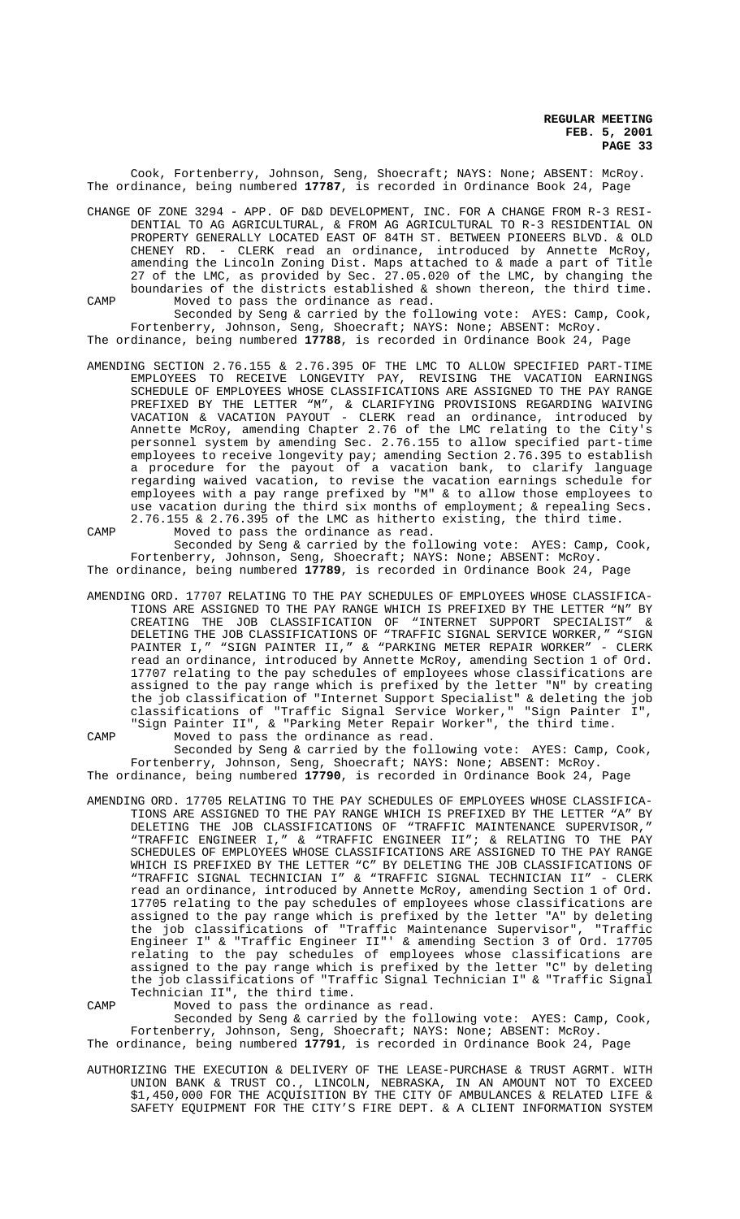Cook, Fortenberry, Johnson, Seng, Shoecraft; NAYS: None; ABSENT: McRoy. The ordinance, being numbered **17787**, is recorded in Ordinance Book 24, Page

CHANGE OF ZONE 3294 - APP. OF D&D DEVELOPMENT, INC. FOR A CHANGE FROM R-3 RESI-DENTIAL TO AG AGRICULTURAL, & FROM AG AGRICULTURAL TO R-3 RESIDENTIAL ON PROPERTY GENERALLY LOCATED EAST OF 84TH ST. BETWEEN PIONEERS BLVD. & OLD CHENEY RD. - CLERK read an ordinance, introduced by Annette McRoy, amending the Lincoln Zoning Dist. Maps attached to & made a part of Title 27 of the LMC, as provided by Sec. 27.05.020 of the LMC, by changing the boundaries of the districts established & shown thereon, the third time. CAMP Moved to pass the ordinance as read.

Seconded by Seng & carried by the following vote: AYES: Camp, Cook, Fortenberry, Johnson, Seng, Shoecraft; NAYS: None; ABSENT: McRoy. The ordinance, being numbered **17788**, is recorded in Ordinance Book 24, Page

- AMENDING SECTION 2.76.155 & 2.76.395 OF THE LMC TO ALLOW SPECIFIED PART-TIME EMPLOYEES TO RECEIVE LONGEVITY PAY, REVISING THE VACATION EARNINGS SCHEDULE OF EMPLOYEES WHOSE CLASSIFICATIONS ARE ASSIGNED TO THE PAY RANGE PREFIXED BY THE LETTER "M", & CLARIFYING PROVISIONS REGARDING WAIVING VACATION & VACATION PAYOUT - CLERK read an ordinance, introduced by Annette McRoy, amending Chapter 2.76 of the LMC relating to the City's personnel system by amending Sec. 2.76.155 to allow specified part-time employees to receive longevity pay; amending Section 2.76.395 to establish a procedure for the payout of a vacation bank, to clarify language regarding waived vacation, to revise the vacation earnings schedule for employees with a pay range prefixed by "M" & to allow those employees to use vacation during the third six months of employment; & repealing Secs. 2.76.155 & 2.76.395 of the LMC as hitherto existing, the third time. CAMP Moved to pass the ordinance as read.
- Seconded by Seng & carried by the following vote: AYES: Camp, Cook, Fortenberry, Johnson, Seng, Shoecraft; NAYS: None; ABSENT: McRoy. The ordinance, being numbered **17789**, is recorded in Ordinance Book 24, Page
- AMENDING ORD. 17707 RELATING TO THE PAY SCHEDULES OF EMPLOYEES WHOSE CLASSIFICA-<br>TIONS ARE ASSIGNED TO THE PAY RANGE WHICH IS PREFIXED BY THE LETTER "N" BY TIONS ARE ASSIGNED TO THE PAY RANGE WHICH IS PREFIXED BY THE LETTER "N" CREATING THE JOB CLASSIFICATION OF "INTERNET SUPPORT SPECIALIST" & DELETING THE JOB CLASSIFICATIONS OF "TRAFFIC SIGNAL SERVICE WORKER," "SIGN<br>PAINTER I." "SIGN PAINTER II." & "PARKING METER REPAIR WORKER" - CLERK PAINTER I," "SIGN PAINTER II," & "PARKING METER REPAIR WORKER" read an ordinance, introduced by Annette McRoy, amending Section 1 of Ord. 17707 relating to the pay schedules of employees whose classifications are assigned to the pay range which is prefixed by the letter "N" by creating the job classification of "Internet Support Specialist" & deleting the job classifications of "Traffic Signal Service Worker," "Sign Painter I", "Sign Painter II", & "Parking Meter Repair Worker", the third time.
- CAMP Moved to pass the ordinance as read. Seconded by Seng & carried by the following vote: AYES: Camp, Cook, Fortenberry, Johnson, Seng, Shoecraft; NAYS: None; ABSENT: McRoy. The ordinance, being numbered **17790**, is recorded in Ordinance Book 24, Page
- AMENDING ORD. 17705 RELATING TO THE PAY SCHEDULES OF EMPLOYEES WHOSE CLASSIFICA-TIONS ARE ASSIGNED TO THE PAY RANGE WHICH IS PREFIXED BY THE LETTER "A" BY DELETING THE JOB CLASSIFICATIONS OF "TRAFFIC MAINTENANCE SUPERVISOR," "TRAFFIC ENGINEER I," & "TRAFFIC ENGINEER II"; & RELATING TO THE PAY SCHEDULES OF EMPLOYEES WHOSE CLASSIFICATIONS ARE ASSIGNED TO THE PAY RANGE WHICH IS PREFIXED BY THE LETTER "C" BY DELETING THE JOB CLASSIFICATIONS OF<br>"TRAFFIC SIGNAL TECHNICIAN I" & "TRAFFIC SIGNAL TECHNICIAN II" - CLERK "TRAFFIC SIGNAL TECHNICIAN I" & "TRAFFIC SIGNAL TECHNICIAN II" read an ordinance, introduced by Annette McRoy, amending Section 1 of Ord. 17705 relating to the pay schedules of employees whose classifications are assigned to the pay range which is prefixed by the letter "A" by deleting the job classifications of "Traffic Maintenance Supervisor", "Traffic Engineer I" & "Traffic Engineer II"' & amending Section 3 of Ord. 17705 relating to the pay schedules of employees whose classifications are assigned to the pay range which is prefixed by the letter "C" by deleting the job classifications of "Traffic Signal Technician I" & "Traffic Signal Technician II", the third time.
- 

CAMP Moved to pass the ordinance as read.

Seconded by Seng & carried by the following vote: AYES: Camp, Cook, Fortenberry, Johnson, Seng, Shoecraft; NAYS: None; ABSENT: McRoy.

The ordinance, being numbered **17791**, is recorded in Ordinance Book 24, Page

AUTHORIZING THE EXECUTION & DELIVERY OF THE LEASE-PURCHASE & TRUST AGRMT. WITH UNION BANK & TRUST CO., LINCOLN, NEBRASKA, IN AN AMOUNT NOT TO EXCEED \$1,450,000 FOR THE ACQUISITION BY THE CITY OF AMBULANCES & RELATED LIFE & SAFETY EQUIPMENT FOR THE CITY'S FIRE DEPT. & A CLIENT INFORMATION SYSTEM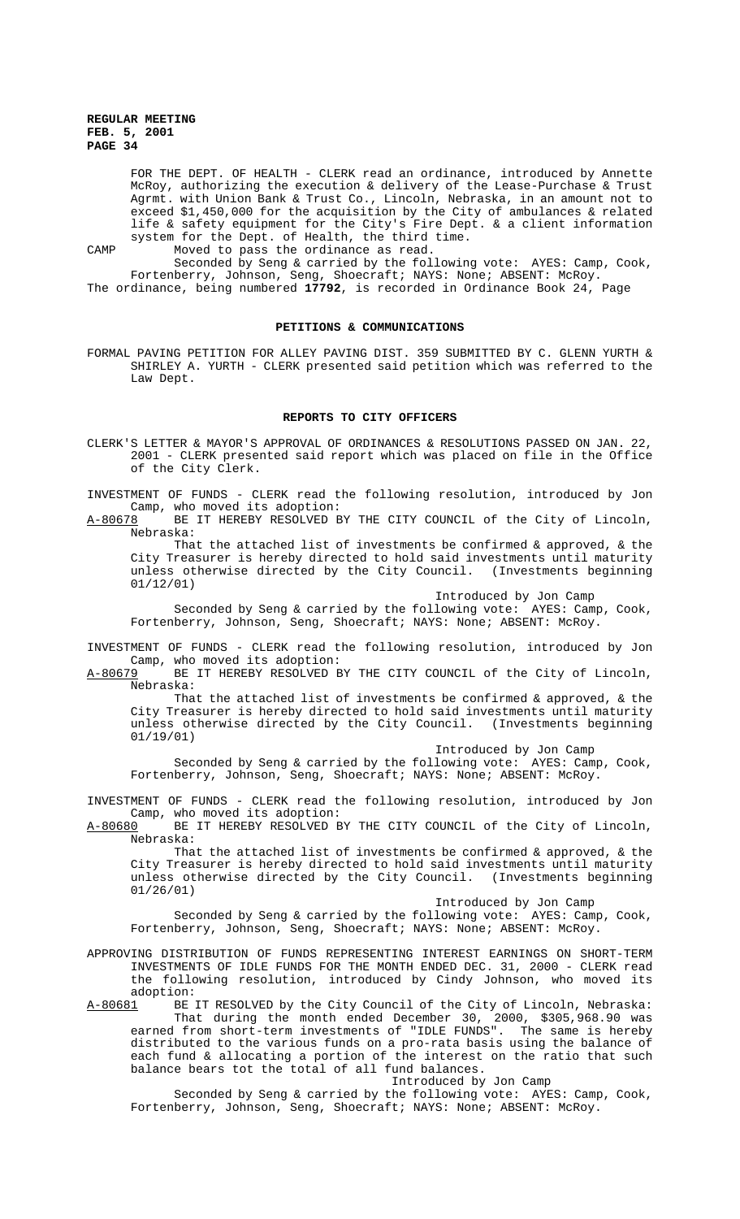FOR THE DEPT. OF HEALTH - CLERK read an ordinance, introduced by Annette McRoy, authorizing the execution & delivery of the Lease-Purchase & Trust Agrmt. with Union Bank & Trust Co., Lincoln, Nebraska, in an amount not to exceed \$1,450,000 for the acquisition by the City of ambulances & related life & safety equipment for the City's Fire Dept. & a client information system for the Dept. of Health, the third time.

CAMP Moved to pass the ordinance as read.

Seconded by Seng & carried by the following vote: AYES: Camp, Cook, Fortenberry, Johnson, Seng, Shoecraft; NAYS: None; ABSENT: McRoy. The ordinance, being numbered **17792**, is recorded in Ordinance Book 24, Page

# **PETITIONS & COMMUNICATIONS**

FORMAL PAVING PETITION FOR ALLEY PAVING DIST. 359 SUBMITTED BY C. GLENN YURTH & SHIRLEY A. YURTH - CLERK presented said petition which was referred to the Law Dept.

#### **REPORTS TO CITY OFFICERS**

CLERK'S LETTER & MAYOR'S APPROVAL OF ORDINANCES & RESOLUTIONS PASSED ON JAN. 22, 2001 - CLERK presented said report which was placed on file in the Office of the City Clerk.

INVESTMENT OF FUNDS - CLERK read the following resolution, introduced by Jon Camp, who moved its adoption:<br>A-80678 BE IT HEREBY RESOLVED B

BE IT HEREBY RESOLVED BY THE CITY COUNCIL of the City of Lincoln, Nebraska:

That the attached list of investments be confirmed & approved, & the City Treasurer is hereby directed to hold said investments until maturity unless otherwise directed by the City Council. (Investments beginning 01/12/01)

Introduced by Jon Camp

Seconded by Seng & carried by the following vote: AYES: Camp, Cook, Fortenberry, Johnson, Seng, Shoecraft; NAYS: None; ABSENT: McRoy.

INVESTMENT OF FUNDS - CLERK read the following resolution, introduced by Jon Camp, who moved its adoption:<br>A-80679 BE IT HEREBY RESOLVED B

BE IT HEREBY RESOLVED BY THE CITY COUNCIL of the City of Lincoln, Nebraska:

That the attached list of investments be confirmed  $\&$  approved,  $\&$  the City Treasurer is hereby directed to hold said investments until maturity unless otherwise directed by the City Council. (Investments beginning 01/19/01)

Introduced by Jon Camp

Seconded by Seng & carried by the following vote: AYES: Camp, Cook, Fortenberry, Johnson, Seng, Shoecraft; NAYS: None; ABSENT: McRoy.

INVESTMENT OF FUNDS - CLERK read the following resolution, introduced by Jon Camp, who moved its adoption:

BE IT HEREBY RESOLVED BY THE CITY COUNCIL of the City of Lincoln, Nebraska:

That the attached list of investments be confirmed  $\&$  approved,  $\&$  the City Treasurer is hereby directed to hold said investments until maturity unless otherwise directed by the City Council. (Investments beginning 01/26/01)

Introduced by Jon Camp

Seconded by Seng & carried by the following vote: AYES: Camp, Cook, Fortenberry, Johnson, Seng, Shoecraft; NAYS: None; ABSENT: McRoy.

APPROVING DISTRIBUTION OF FUNDS REPRESENTING INTEREST EARNINGS ON SHORT-TERM INVESTMENTS OF IDLE FUNDS FOR THE MONTH ENDED DEC. 31, 2000 - CLERK read the following resolution, introduced by Cindy Johnson, who moved its

adoption:<br><u>A-80681</u> BE BE IT RESOLVED by the City Council of the City of Lincoln, Nebraska: That during the month ended December 30, 2000, \$305,968.90 was earned from short-term investments of "IDLE FUNDS". The same is hereby distributed to the various funds on a pro-rata basis using the balance of each fund & allocating a portion of the interest on the ratio that such balance bears tot the total of all fund balances.

Introduced by Jon Camp

Seconded by Seng & carried by the following vote: AYES: Camp, Cook, Fortenberry, Johnson, Seng, Shoecraft; NAYS: None; ABSENT: McRoy.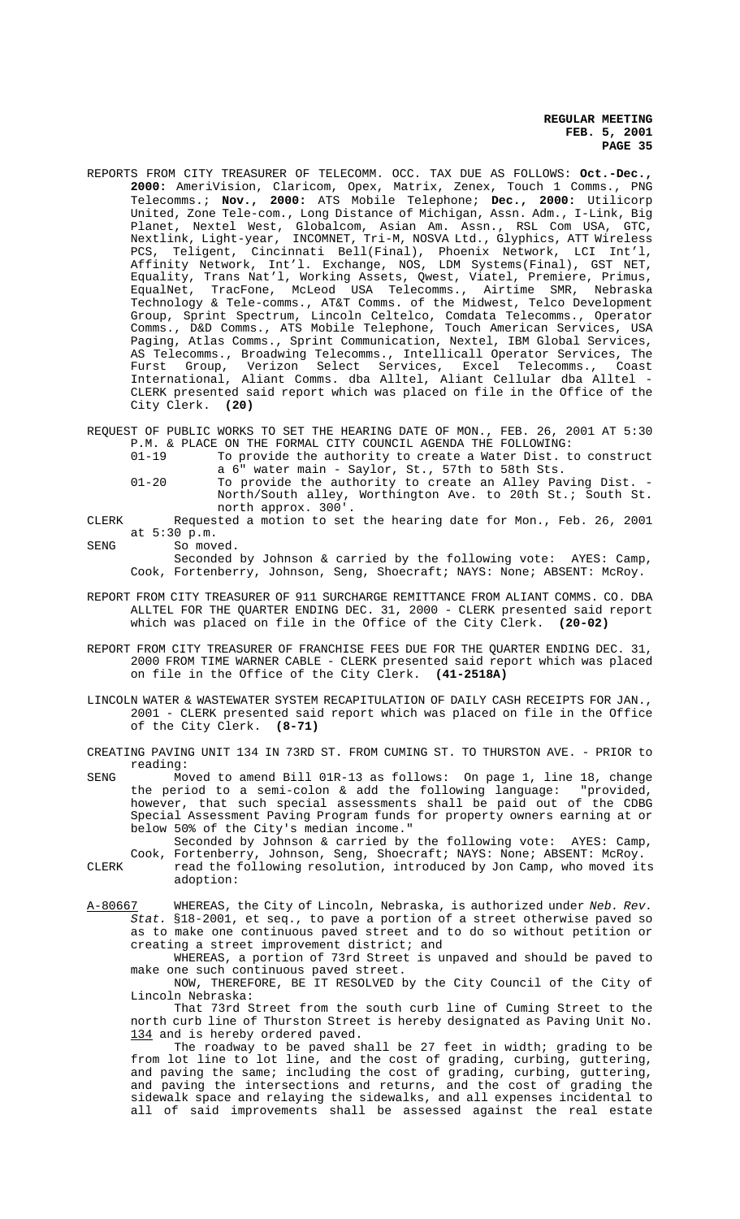- REPORTS FROM CITY TREASURER OF TELECOMM. OCC. TAX DUE AS FOLLOWS: **Oct.-Dec., 2000:** AmeriVision, Claricom, Opex, Matrix, Zenex, Touch 1 Comms., PNG Telecomms.; **Nov., 2000:** ATS Mobile Telephone; **Dec., 2000:** Utilicorp United, Zone Tele-com., Long Distance of Michigan, Assn. Adm., I-Link, Big Planet, Nextel West, Globalcom, Asian Am. Assn., RSL Com USA, GTC, Nextlink, Light-year, INCOMNET, Tri-M, NOSVA Ltd., Glyphics, ATT Wireless PCS, Teligent, Cincinnati Bell(Final), Phoenix Network, LCI Int'l, Affinity Network, Int'l. Exchange, NOS, LDM Systems(Final), GST NET, Equality, Trans Nat'l, Working Assets, Qwest, Viatel, Premiere, Primus, EqualNet, TracFone, McLeod USA Telecomms., Airtime SMR, Nebraska Technology & Tele-comms., AT&T Comms. of the Midwest, Telco Development Group, Sprint Spectrum, Lincoln Celtelco, Comdata Telecomms., Operator Comms., D&D Comms., ATS Mobile Telephone, Touch American Services, USA Paging, Atlas Comms., Sprint Communication, Nextel, IBM Global Services, AS Telecomms., Broadwing Telecomms., Intellicall Operator Services, The Furst Group, Verizon Select Services, Excel Telecomms., Coast International, Aliant Comms. dba Alltel, Aliant Cellular dba Alltel - CLERK presented said report which was placed on file in the Office of the City Clerk. **(20)**
- REQUEST OF PUBLIC WORKS TO SET THE HEARING DATE OF MON., FEB. 26, 2001 AT 5:30 P.M. & PLACE ON THE FORMAL CITY COUNCIL AGENDA THE FOLLOWING:
	- 01-19 To provide the authority to create a Water Dist. to construct a 6" water main - Saylor, St., 57th to 58th Sts.
	- 01-20 To provide the authority to create an Alley Paving Dist. North/South alley, Worthington Ave. to 20th St.; South St. north approx. 300'.
- CLERK Requested a motion to set the hearing date for Mon., Feb. 26, 2001 at 5:30 p.m.

SENG So moved.

Seconded by Johnson & carried by the following vote: AYES: Camp, Cook, Fortenberry, Johnson, Seng, Shoecraft; NAYS: None; ABSENT: McRoy.

- REPORT FROM CITY TREASURER OF 911 SURCHARGE REMITTANCE FROM ALIANT COMMS. CO. DBA ALLTEL FOR THE QUARTER ENDING DEC. 31, 2000 - CLERK presented said report which was placed on file in the Office of the City Clerk. **(20-02)**
- REPORT FROM CITY TREASURER OF FRANCHISE FEES DUE FOR THE QUARTER ENDING DEC. 31, 2000 FROM TIME WARNER CABLE - CLERK presented said report which was placed on file in the Office of the City Clerk. **(41-2518A)**
- LINCOLN WATER & WASTEWATER SYSTEM RECAPITULATION OF DAILY CASH RECEIPTS FOR JAN., 2001 - CLERK presented said report which was placed on file in the Office of the City Clerk. **(8-71)**
- CREATING PAVING UNIT 134 IN 73RD ST. FROM CUMING ST. TO THURSTON AVE. PRIOR to reading:
- SENG Moved to amend Bill 01R-13 as follows: On page 1, line 18, change the period to a semi-colon & add the following language: "provided, however, that such special assessments shall be paid out of the CDBG Special Assessment Paving Program funds for property owners earning at or below 50% of the City's median income."
	- Seconded by Johnson & carried by the following vote: AYES: Camp, Cook, Fortenberry, Johnson, Seng, Shoecraft; NAYS: None; ABSENT: McRoy.
- CLERK read the following resolution, introduced by Jon Camp, who moved its adoption:
- A-80667 WHEREAS, the City of Lincoln, Nebraska, is authorized under Neb. Rev. Stat. §18-2001, et seq., to pave a portion of a street otherwise paved so as to make one continuous paved street and to do so without petition or creating a street improvement district; and

WHEREAS, a portion of 73rd Street is unpaved and should be paved to make one such continuous paved street.

NOW, THEREFORE, BE IT RESOLVED by the City Council of the City of Lincoln Nebraska:

That 73rd Street from the south curb line of Cuming Street to the north curb line of Thurston Street is hereby designated as Paving Unit No. 134 and is hereby ordered paved.

The roadway to be paved shall be 27 feet in width; grading to be from lot line to lot line, and the cost of grading, curbing, guttering, and paving the same; including the cost of grading, curbing, guttering, and paving the intersections and returns, and the cost of grading the sidewalk space and relaying the sidewalks, and all expenses incidental to all of said improvements shall be assessed against the real estate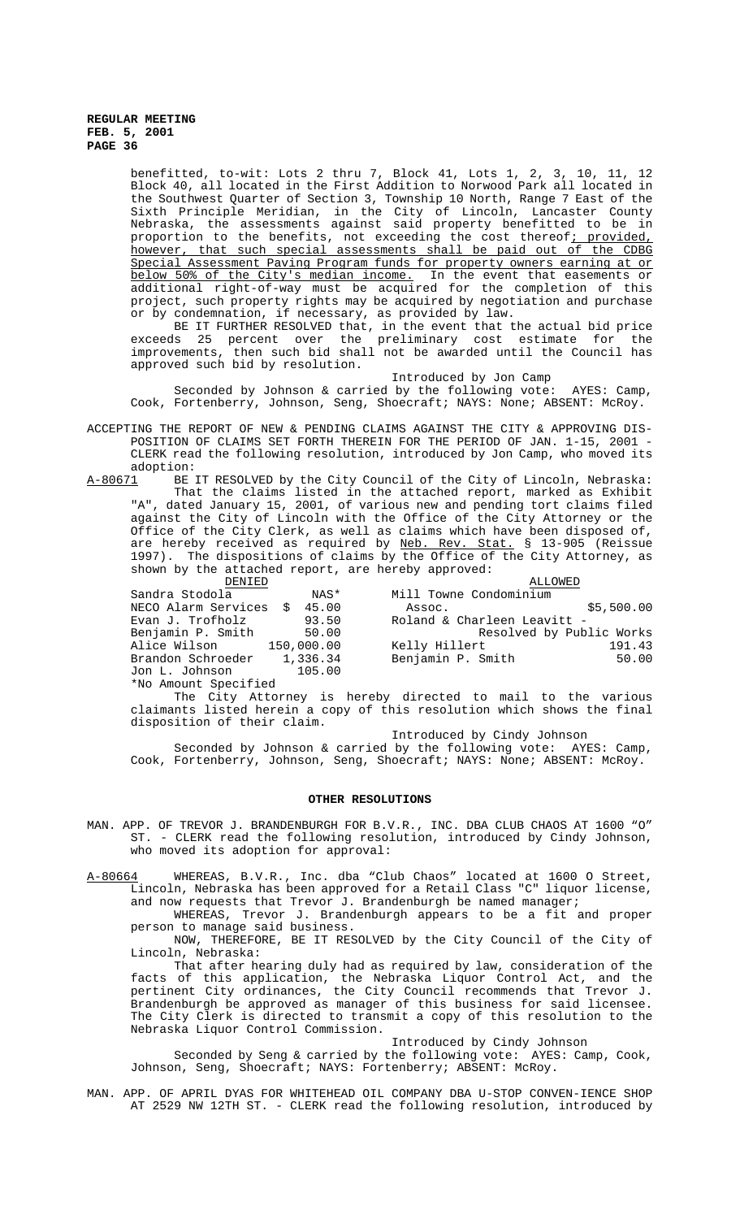benefitted, to-wit: Lots 2 thru 7, Block 41, Lots 1, 2, 3, 10, 11, 12 Block 40, all located in the First Addition to Norwood Park all located in the Southwest Quarter of Section 3, Township 10 North, Range 7 East of the Sixth Principle Meridian, in the City of Lincoln, Lancaster County Nebraska, the assessments against said property benefitted to be in proportion to the benefits, not exceeding the cost thereof; provided, however, that such special assessments shall be paid out of the CDBG Special Assessment Paving Program funds for property owners earning at or<br>below 50% of the City's median income. In the event that easements or below 50% of the City's median income. In the event that easements or additional right-of-way must be acquired for the completion of this project, such property rights may be acquired by negotiation and purchase or by condemnation, if necessary, as provided by law.

BE IT FURTHER RESOLVED that, in the event that the actual bid price exceeds 25 percent over the preliminary cost estimate for the improvements, then such bid shall not be awarded until the Council has approved such bid by resolution.

Introduced by Jon Camp

Seconded by Johnson & carried by the following vote: AYES: Camp, Cook, Fortenberry, Johnson, Seng, Shoecraft; NAYS: None; ABSENT: McRoy.

ACCEPTING THE REPORT OF NEW & PENDING CLAIMS AGAINST THE CITY & APPROVING DIS-POSITION OF CLAIMS SET FORTH THEREIN FOR THE PERIOD OF JAN. 1-15, 2001 - CLERK read the following resolution, introduced by Jon Camp, who moved its

adoption:<br>A-80671 BE BE IT RESOLVED by the City Council of the City of Lincoln, Nebraska: That the claims listed in the attached report, marked as Exhibit "A", dated January 15, 2001, of various new and pending tort claims filed against the City of Lincoln with the Office of the City Attorney or the Office of the City Clerk, as well as claims which have been disposed of, are hereby received as required by <u>Neb. Rev. Stat.</u> § 13-905 (Reissue 1997). The dispositions of claims by the Office of the City Attorney, as shown by the attached report, are hereby approved:

| DENIED                       |          | ALLOWED                     |                          |
|------------------------------|----------|-----------------------------|--------------------------|
| Sandra Stodola               | NAS*     | Mill Towne Condominium      |                          |
| NECO Alarm Services \$ 45.00 |          | Assoc.                      | \$5,500.00               |
| Evan J. Trofholz             | 93.50    | Roland & Charleen Leavitt - |                          |
| Benjamin P. Smith            | 50.00    |                             | Resolved by Public Works |
| Alice Wilson 150,000.00      |          | Kelly Hillert               | 191.43                   |
| Brandon Schroeder            | 1,336.34 | Benjamin P. Smith           | 50.00                    |
| Jon L. Johnson               | 105.00   |                             |                          |
| *No Amount Specified         |          |                             |                          |

The City Attorney is hereby directed to mail to the various claimants listed herein a copy of this resolution which shows the final disposition of their claim.

Introduced by Cindy Johnson

Seconded by Johnson & carried by the following vote: AYES: Camp, Cook, Fortenberry, Johnson, Seng, Shoecraft; NAYS: None; ABSENT: McRoy.

#### **OTHER RESOLUTIONS**

- MAN. APP. OF TREVOR J. BRANDENBURGH FOR B.V.R., INC. DBA CLUB CHAOS AT 1600 "O" ST. - CLERK read the following resolution, introduced by Cindy Johnson, who moved its adoption for approval:
- A-80664 WHEREAS, B.V.R., Inc. dba "Club Chaos" located at 1600 0 Street, Lincoln, Nebraska has been approved for a Retail Class "C" liquor license, and now requests that Trevor J. Brandenburgh be named manager;

WHEREAS, Trevor J. Brandenburgh appears to be a fit and proper person to manage said business.

NOW, THEREFORE, BE IT RESOLVED by the City Council of the City of Lincoln, Nebraska:

That after hearing duly had as required by law, consideration of the facts of this application, the Nebraska Liquor Control Act, and the pertinent City ordinances, the City Council recommends that Trevor J. Brandenburgh be approved as manager of this business for said licensee. The City Clerk is directed to transmit a copy of this resolution to the Nebraska Liquor Control Commission.

Introduced by Cindy Johnson

Seconded by Seng & carried by the following vote: AYES: Camp, Cook, Johnson, Seng, Shoecraft; NAYS: Fortenberry; ABSENT: McRoy.

MAN. APP. OF APRIL DYAS FOR WHITEHEAD OIL COMPANY DBA U-STOP CONVEN-IENCE SHOP AT 2529 NW 12TH ST. - CLERK read the following resolution, introduced by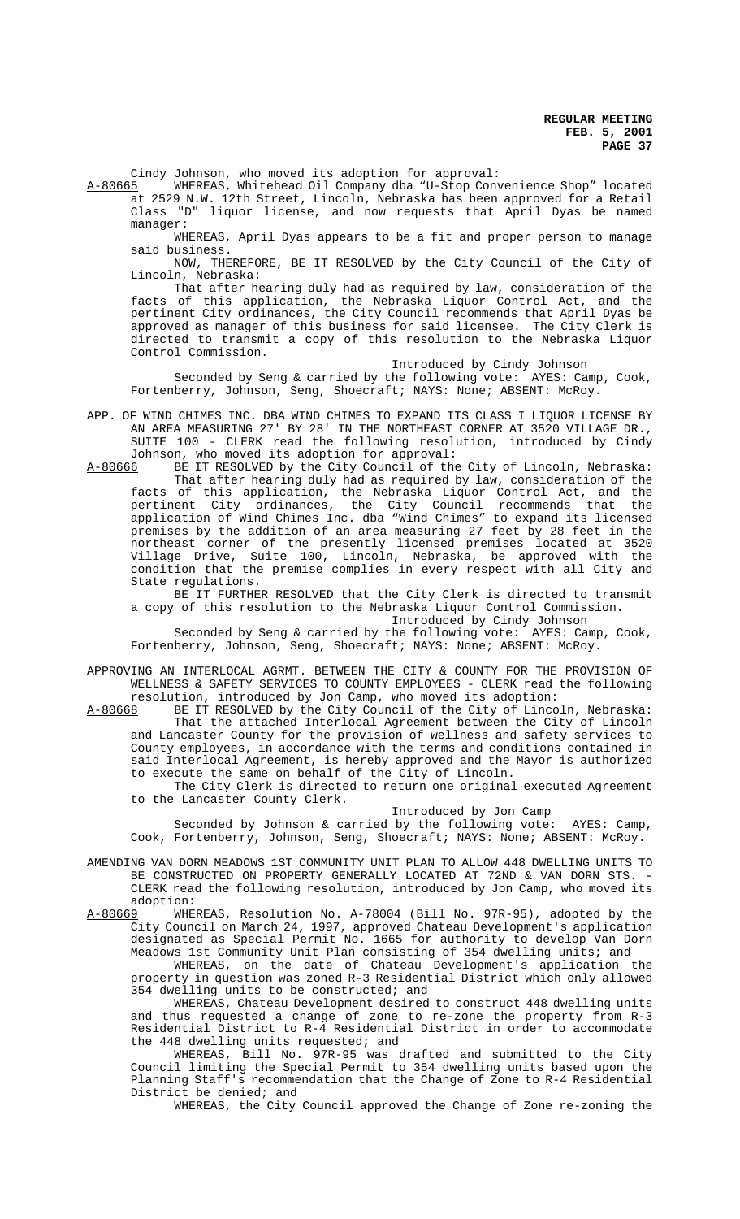Cindy Johnson, who moved its adoption for approval:

A-80665 WHEREAS, Whitehead Oil Company dba "U-Stop Convenience Shop" located at 2529 N.W. 12th Street, Lincoln, Nebraska has been approved for a Retail Class "D" liquor license, and now requests that April Dyas be named manager;

WHEREAS, April Dyas appears to be a fit and proper person to manage said business.

NOW, THEREFORE, BE IT RESOLVED by the City Council of the City of Lincoln, Nebraska:

That after hearing duly had as required by law, consideration of the facts of this application, the Nebraska Liquor Control Act, and the pertinent City ordinances, the City Council recommends that April Dyas be approved as manager of this business for said licensee. The City Clerk is directed to transmit a copy of this resolution to the Nebraska Liquor Control Commission.

#### Introduced by Cindy Johnson

Seconded by Seng & carried by the following vote: AYES: Camp, Cook, Fortenberry, Johnson, Seng, Shoecraft; NAYS: None; ABSENT: McRoy.

- APP. OF WIND CHIMES INC. DBA WIND CHIMES TO EXPAND ITS CLASS I LIQUOR LICENSE BY AN AREA MEASURING 27' BY 28' IN THE NORTHEAST CORNER AT 3520 VILLAGE DR., SUITE 100 - CLERK read the following resolution, introduced by Cindy
- Johnson, who moved its adoption for approval:<br>A-80666 BE IT RESOLVED by the City Council of the BE IT RESOLVED by the City Council of the City of Lincoln, Nebraska: That after hearing duly had as required by law, consideration of the facts of this application, the Nebraska Liquor Control Act, and the pertinent City ordinances, the City Council recommends that the application of Wind Chimes Inc. dba "Wind Chimes" to expand its licensed premises by the addition of an area measuring 27 feet by 28 feet in the northeast corner of the presently licensed premises located at 3520 Village Drive, Suite 100, Lincoln, Nebraska, be approved with the condition that the premise complies in every respect with all City and State regulations.

BE IT FURTHER RESOLVED that the City Clerk is directed to transmit a copy of this resolution to the Nebraska Liquor Control Commission.

Introduced by Cindy Johnson

Seconded by Seng & carried by the following vote: AYES: Camp, Cook, Fortenberry, Johnson, Seng, Shoecraft; NAYS: None; ABSENT: McRoy.

APPROVING AN INTERLOCAL AGRMT. BETWEEN THE CITY & COUNTY FOR THE PROVISION OF WELLNESS & SAFETY SERVICES TO COUNTY EMPLOYEES - CLERK read the following resolution, introduced by Jon Camp, who moved its adoption:

A-80668 BE IT RESOLVED by the City Council of the City of Lincoln, Nebraska: That the attached Interlocal Agreement between the City of Lincoln and Lancaster County for the provision of wellness and safety services to County employees, in accordance with the terms and conditions contained in said Interlocal Agreement, is hereby approved and the Mayor is authorized to execute the same on behalf of the City of Lincoln.

The City Clerk is directed to return one original executed Agreement to the Lancaster County Clerk.

### Introduced by Jon Camp

Seconded by Johnson & carried by the following vote: AYES: Camp, Cook, Fortenberry, Johnson, Seng, Shoecraft; NAYS: None; ABSENT: McRoy.

AMENDING VAN DORN MEADOWS 1ST COMMUNITY UNIT PLAN TO ALLOW 448 DWELLING UNITS TO BE CONSTRUCTED ON PROPERTY GENERALLY LOCATED AT 72ND & VAN DORN STS. - CLERK read the following resolution, introduced by Jon Camp, who moved its adoption:<br>A-80669 WHE

WHEREAS, Resolution No. A-78004 (Bill No. 97R-95), adopted by the City Council on March 24, 1997, approved Chateau Development's application designated as Special Permit No. 1665 for authority to develop Van Dorn Meadows 1st Community Unit Plan consisting of 354 dwelling units; and

WHEREAS, on the date of Chateau Development's application the property in question was zoned R-3 Residential District which only allowed 354 dwelling units to be constructed; and

WHEREAS, Chateau Development desired to construct 448 dwelling units and thus requested a change of zone to re-zone the property from R-3 Residential District to R-4 Residential District in order to accommodate the 448 dwelling units requested; and

WHEREAS, Bill No. 97R-95 was drafted and submitted to the City Council limiting the Special Permit to 354 dwelling units based upon the Planning Staff's recommendation that the Change of Zone to R-4 Residential District be denied; and

WHEREAS, the City Council approved the Change of Zone re-zoning the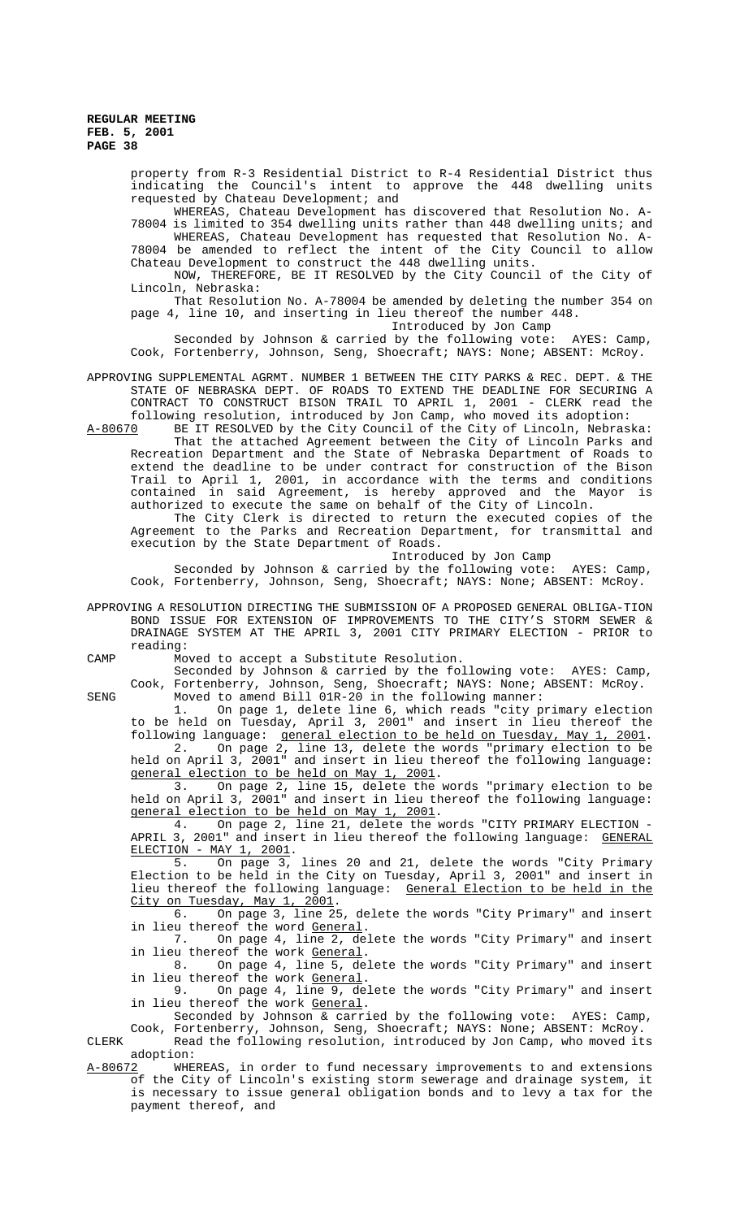> property from R-3 Residential District to R-4 Residential District thus indicating the Council's intent to approve the 448 dwelling units requested by Chateau Development; and

> WHEREAS, Chateau Development has discovered that Resolution No. A-78004 is limited to 354 dwelling units rather than 448 dwelling units; and

> WHEREAS, Chateau Development has requested that Resolution No. A-78004 be amended to reflect the intent of the City Council to allow Chateau Development to construct the 448 dwelling units.

> NOW, THEREFORE, BE IT RESOLVED by the City Council of the City of Lincoln, Nebraska:

> That Resolution No. A-78004 be amended by deleting the number 354 on page 4, line 10, and inserting in lieu thereof the number 448. Introduced by Jon Camp

Seconded by Johnson & carried by the following vote: AYES: Camp, Cook, Fortenberry, Johnson, Seng, Shoecraft; NAYS: None; ABSENT: McRoy.

APPROVING SUPPLEMENTAL AGRMT. NUMBER 1 BETWEEN THE CITY PARKS & REC. DEPT. & THE STATE OF NEBRASKA DEPT. OF ROADS TO EXTEND THE DEADLINE FOR SECURING A CONTRACT TO CONSTRUCT BISON TRAIL TO APRIL 1, 2001 - CLERK read the following resolution, introduced by Jon Camp, who moved its adoption:<br>A-80670 BE IT RESOLVED by the City Council of the City of Lincoln, Nebras

BE IT RESOLVED by the City Council of the City of Lincoln, Nebraska: That the attached Agreement between the City of Lincoln Parks and Recreation Department and the State of Nebraska Department of Roads to extend the deadline to be under contract for construction of the Bison Trail to April 1, 2001, in accordance with the terms and conditions contained in said Agreement, is hereby approved and the Mayor is authorized to execute the same on behalf of the City of Lincoln.

The City Clerk is directed to return the executed copies of the Agreement to the Parks and Recreation Department, for transmittal and execution by the State Department of Roads.

Introduced by Jon Camp

Seconded by Johnson & carried by the following vote: AYES: Camp, Cook, Fortenberry, Johnson, Seng, Shoecraft; NAYS: None; ABSENT: McRoy.

APPROVING A RESOLUTION DIRECTING THE SUBMISSION OF A PROPOSED GENERAL OBLIGA-TION BOND ISSUE FOR EXTENSION OF IMPROVEMENTS TO THE CITY'S STORM SEWER & DRAINAGE SYSTEM AT THE APRIL 3, 2001 CITY PRIMARY ELECTION - PRIOR to reading:

CAMP Moved to accept a Substitute Resolution.

Seconded by Johnson & carried by the following vote: AYES: Camp, Cook, Fortenberry, Johnson, Seng, Shoecraft; NAYS: None; ABSENT: McRoy. SENG Moved to amend Bill 01R-20 in the following manner:

1. On page 1, delete line 6, which reads "city primary election to be held on Tuesday, April 3, 2001" and insert in lieu thereof the following language: general election to be held on Tuesday, May 1, 2001. 2. On page 2, line 13, delete the words "primary election to be held on April 3, 2001" and insert in lieu thereof the following language: general election to be held on May 1, 2001.

3. On page 2, line 15, delete the words "primary election to be held on April 3, 2001" and insert in lieu thereof the following language: general election to be held on May 1, 2001.<br>4. On page 2, line 21, delete the w

4. On page 2, line 21, delete the words "CITY PRIMARY ELECTION - APRIL 3, 2001" and insert in lieu thereof the following language: GENERAL ELECTION - MAY 1, 2001.

5. On page 3, lines 20 and 21, delete the words "City Primary Election to be held in the City on Tuesday, April 3, 2001" and insert in lieu thereof the following language: General Election to be held in the  $City$  on Tuesday, May 1, 2001.<br>6. On page 3, line 25

6. On page 3, line 25, delete the words "City Primary" and insert in lieu thereof the word <u>General</u>.<br>7. On page 4, line 2, de

On page 4, line 2, delete the words "City Primary" and insert in lieu thereof the work General.

8. On page 4, line 5, delete the words "City Primary" and insert in lieu thereof the work General.

9. On page 4, line 9, delete the words "City Primary" and insert in lieu thereof the work General.

Seconded by Johnson & carried by the following vote: AYES: Camp, Cook, Fortenberry, Johnson, Seng, Shoecraft; NAYS: None; ABSENT: McRoy.

CLERK Read the following resolution, introduced by Jon Camp, who moved its adoption:<br>A-80672 WHEI

WHEREAS, in order to fund necessary improvements to and extensions of the City of Lincoln's existing storm sewerage and drainage system, it is necessary to issue general obligation bonds and to levy a tax for the payment thereof, and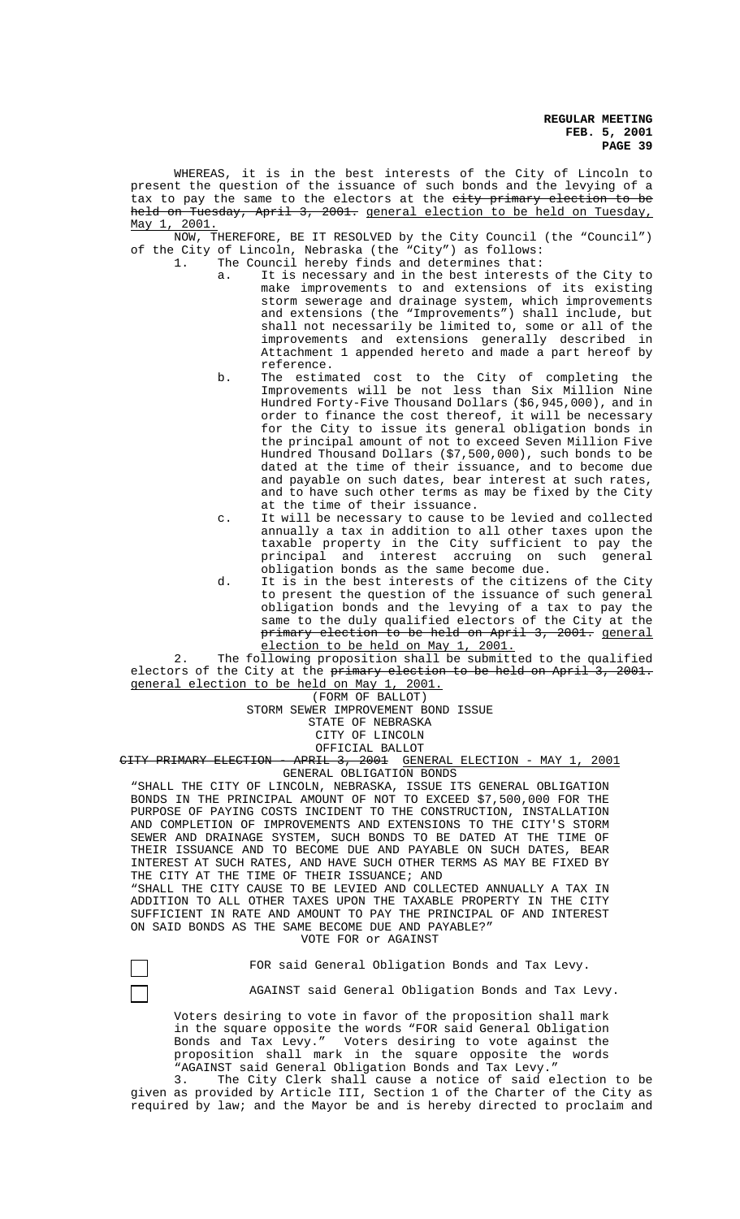WHEREAS, it is in the best interests of the City of Lincoln to present the question of the issuance of such bonds and the levying of a tax to pay the same to the electors at the city primary election to be held on Tuesday, April 3, 2001. general election to be held on Tuesday, May 1, 2001.

NOW, THEREFORE, BE IT RESOLVED by the City Council (the "Council") of the City of Lincoln, Nebraska (the "City") as follows: 1. The Council hereby finds and determines that:

- a. It is necessary and in the best interests of the City to make improvements to and extensions of its existing storm sewerage and drainage system, which improvements and extensions (the "Improvements") shall include, but shall not necessarily be limited to, some or all of the improvements and extensions generally described in Attachment 1 appended hereto and made a part hereof by reference.
- b. The estimated cost to the City of completing the Improvements will be not less than Six Million Nine Hundred Forty-Five Thousand Dollars (\$6,945,000), and in order to finance the cost thereof, it will be necessary for the City to issue its general obligation bonds in the principal amount of not to exceed Seven Million Five Hundred Thousand Dollars (\$7,500,000), such bonds to be dated at the time of their issuance, and to become due and payable on such dates, bear interest at such rates, and to have such other terms as may be fixed by the City at the time of their issuance.
- c. It will be necessary to cause to be levied and collected annually a tax in addition to all other taxes upon the taxable property in the City sufficient to pay the principal and interest accruing on such general obligation bonds as the same become due.
- d. It is in the best interests of the citizens of the City to present the question of the issuance of such general obligation bonds and the levying of a tax to pay the same to the duly qualified electors of the City at the primary election to be held on April 3, 2001. general election to be held on May 1, 2001.

2. The following proposition shall be submitted to the qualified electors of the City at the primary election to be held on April 3, 2001. general election to be held on May 1, 2001.

(FORM OF BALLOT)

STORM SEWER IMPROVEMENT BOND ISSUE

STATE OF NEBRASKA

CITY OF LINCOLN

OFFICIAL BALLOT

CITY PRIMARY ELECTION - APRIL 3, 2001 GENERAL ELECTION - MAY 1, 2001 GENERAL OBLIGATION BONDS

"SHALL THE CITY OF LINCOLN, NEBRASKA, ISSUE ITS GENERAL OBLIGATION BONDS IN THE PRINCIPAL AMOUNT OF NOT TO EXCEED \$7,500,000 FOR THE PURPOSE OF PAYING COSTS INCIDENT TO THE CONSTRUCTION, INSTALLATION AND COMPLETION OF IMPROVEMENTS AND EXTENSIONS TO THE CITY'S STORM SEWER AND DRAINAGE SYSTEM, SUCH BONDS TO BE DATED AT THE TIME OF THEIR ISSUANCE AND TO BECOME DUE AND PAYABLE ON SUCH DATES, BEAR INTEREST AT SUCH RATES, AND HAVE SUCH OTHER TERMS AS MAY BE FIXED BY THE CITY AT THE TIME OF THEIR ISSUANCE; AND

"SHALL THE CITY CAUSE TO BE LEVIED AND COLLECTED ANNUALLY A TAX IN ADDITION TO ALL OTHER TAXES UPON THE TAXABLE PROPERTY IN THE CITY SUFFICIENT IN RATE AND AMOUNT TO PAY THE PRINCIPAL OF AND INTEREST ON SAID BONDS AS THE SAME BECOME DUE AND PAYABLE?"

VOTE FOR or AGAINST

FOR said General Obligation Bonds and Tax Levy.

AGAINST said General Obligation Bonds and Tax Levy.

Voters desiring to vote in favor of the proposition shall mark in the square opposite the words "FOR said General Obligation Bonds and Tax Levy." Voters desiring to vote against the proposition shall mark in the square opposite the words "AGAINST said General Obligation Bonds and Tax Levy."

3. The City Clerk shall cause a notice of said election to be given as provided by Article III, Section 1 of the Charter of the City as required by law; and the Mayor be and is hereby directed to proclaim and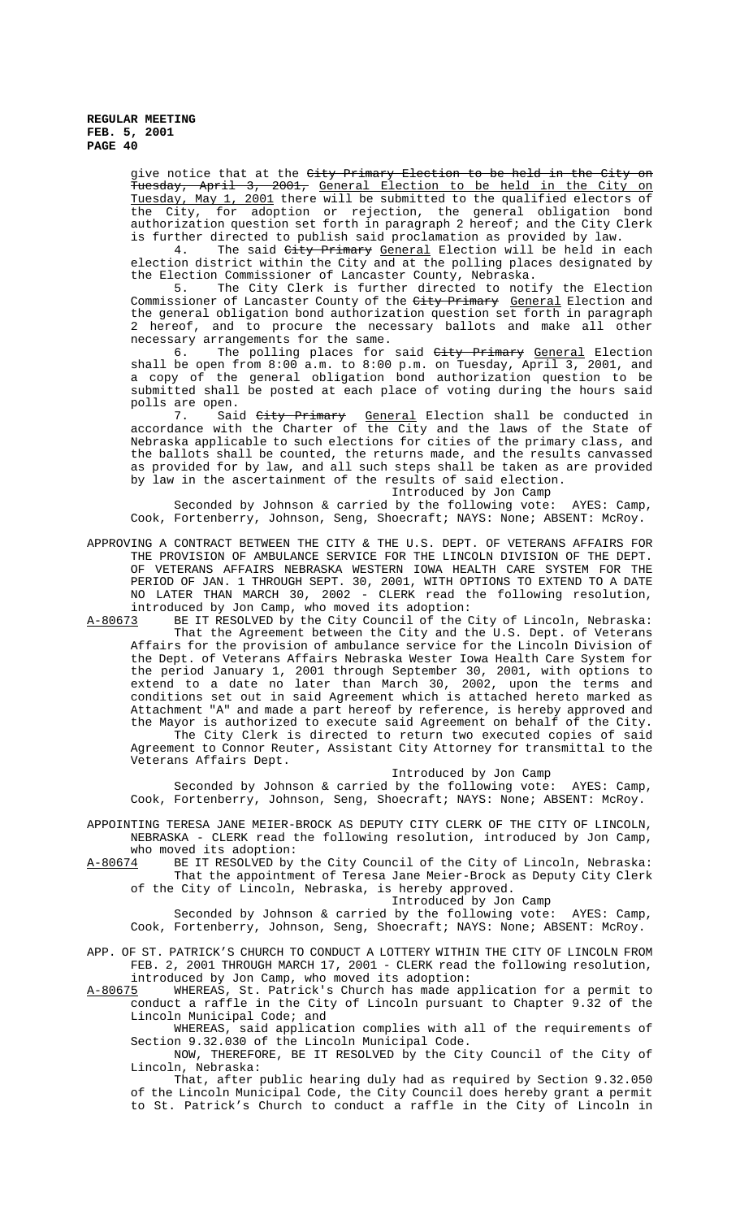> give notice that at the City Primary Election to be held in the City on Tuesday, April 3, 2001, General Election to be held in the City on Tuesday, May 1, 2001 there will be submitted to the qualified electors of the City, for adoption or rejection, the general obligation bond authorization question set forth in paragraph 2 hereof; and the City Clerk is further directed to publish said proclamation as provided by law.

> 4. The said City Primary General Election will be held in each election district within the City and at the polling places designated by the Election Commissioner of Lancaster County, Nebraska.

> 5. The City Clerk is further directed to notify the Election Commissioner of Lancaster County of the <del>City Primary</del> <u>General</u> Election and the general obligation bond authorization question set forth in paragraph 2 hereof, and to procure the necessary ballots and make all other necessary arrangements for the same.

> 6. The polling places for said *City Primary General* Election shall be open from 8:00 a.m. to 8:00 p.m. on Tuesday, April 3, 2001, and a copy of the general obligation bond authorization question to be submitted shall be posted at each place of voting during the hours said polls are open.

> 7. Said <del>City Primary</del> General Election shall be conducted in accordance with the Charter of the City and the laws of the State of Nebraska applicable to such elections for cities of the primary class, and the ballots shall be counted, the returns made, and the results canvassed as provided for by law, and all such steps shall be taken as are provided by law in the ascertainment of the results of said election.

Introduced by Jon Camp

Seconded by Johnson & carried by the following vote: AYES: Camp, Cook, Fortenberry, Johnson, Seng, Shoecraft; NAYS: None; ABSENT: McRoy.

APPROVING A CONTRACT BETWEEN THE CITY & THE U.S. DEPT. OF VETERANS AFFAIRS FOR THE PROVISION OF AMBULANCE SERVICE FOR THE LINCOLN DIVISION OF THE DEPT. OF VETERANS AFFAIRS NEBRASKA WESTERN IOWA HEALTH CARE SYSTEM FOR THE PERIOD OF JAN. 1 THROUGH SEPT. 30, 2001, WITH OPTIONS TO EXTEND TO A DATE NO LATER THAN MARCH 30, 2002 - CLERK read the following resolution, introduced by Jon Camp, who moved its adoption:

A-80673 BE IT RESOLVED by the City Council of the City of Lincoln, Nebraska: That the Agreement between the City and the U.S. Dept. of Veterans Affairs for the provision of ambulance service for the Lincoln Division of the Dept. of Veterans Affairs Nebraska Wester Iowa Health Care System for the period January 1, 2001 through September 30, 2001, with options to extend to a date no later than March 30, 2002, upon the terms and conditions set out in said Agreement which is attached hereto marked as Attachment "A" and made a part hereof by reference, is hereby approved and the Mayor is authorized to execute said Agreement on behalf of the City. The City Clerk is directed to return two executed copies of said Agreement to Connor Reuter, Assistant City Attorney for transmittal to the Veterans Affairs Dept.

Introduced by Jon Camp

Seconded by Johnson & carried by the following vote: AYES: Camp, Cook, Fortenberry, Johnson, Seng, Shoecraft; NAYS: None; ABSENT: McRoy.

APPOINTING TERESA JANE MEIER-BROCK AS DEPUTY CITY CLERK OF THE CITY OF LINCOLN, NEBRASKA - CLERK read the following resolution, introduced by Jon Camp, who moved its adoption:

A-80674 BE IT RESOLVED by the City Council of the City of Lincoln, Nebraska: That the appointment of Teresa Jane Meier-Brock as Deputy City Clerk of the City of Lincoln, Nebraska, is hereby approved.

Introduced by Jon Camp

Seconded by Johnson & carried by the following vote: AYES: Camp, Cook, Fortenberry, Johnson, Seng, Shoecraft; NAYS: None; ABSENT: McRoy.

APP. OF ST. PATRICK'S CHURCH TO CONDUCT A LOTTERY WITHIN THE CITY OF LINCOLN FROM FEB. 2, 2001 THROUGH MARCH 17, 2001 - CLERK read the following resolution, introduced by Jon Camp, who moved its adoption:

A-80675 WHEREAS, St. Patrick's Church has made application for a permit to conduct a raffle in the City of Lincoln pursuant to Chapter 9.32 of the Lincoln Municipal Code; and

WHEREAS, said application complies with all of the requirements of Section 9.32.030 of the Lincoln Municipal Code.

NOW, THEREFORE, BE IT RESOLVED by the City Council of the City of Lincoln, Nebraska:

That, after public hearing duly had as required by Section 9.32.050 of the Lincoln Municipal Code, the City Council does hereby grant a permit to St. Patrick's Church to conduct a raffle in the City of Lincoln in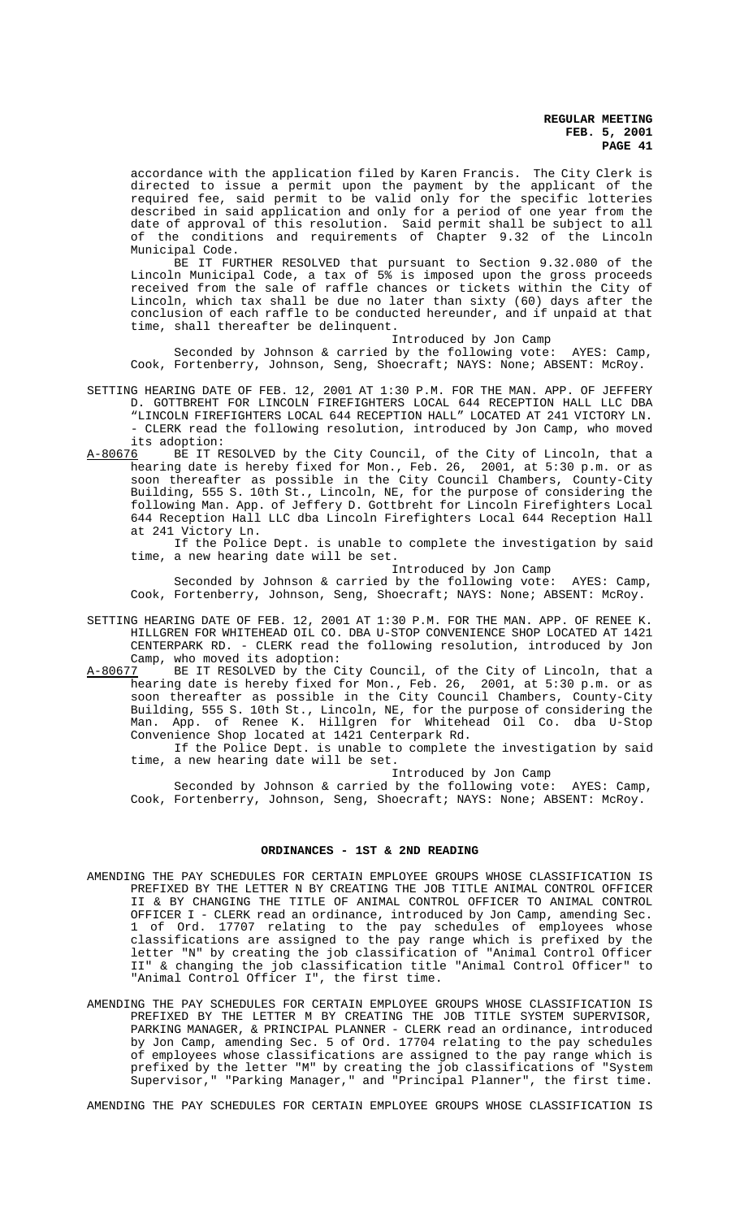accordance with the application filed by Karen Francis. The City Clerk is directed to issue a permit upon the payment by the applicant of the required fee, said permit to be valid only for the specific lotteries described in said application and only for a period of one year from the date of approval of this resolution. Said permit shall be subject to all of the conditions and requirements of Chapter 9.32 of the Lincoln Municipal Code.

BE IT FURTHER RESOLVED that pursuant to Section 9.32.080 of the Lincoln Municipal Code, a tax of 5% is imposed upon the gross proceeds received from the sale of raffle chances or tickets within the City of Lincoln, which tax shall be due no later than sixty (60) days after the conclusion of each raffle to be conducted hereunder, and if unpaid at that time, shall thereafter be delinquent.

Introduced by Jon Camp

Seconded by Johnson & carried by the following vote: AYES: Camp, Cook, Fortenberry, Johnson, Seng, Shoecraft; NAYS: None; ABSENT: McRoy.

- SETTING HEARING DATE OF FEB. 12, 2001 AT 1:30 P.M. FOR THE MAN. APP. OF JEFFERY D. GOTTBREHT FOR LINCOLN FIREFIGHTERS LOCAL 644 RECEPTION HALL LLC DBA "LINCOLN FIREFIGHTERS LOCAL 644 RECEPTION HALL" LOCATED AT 241 VICTORY LN. - CLERK read the following resolution, introduced by Jon Camp, who moved its adoption:<br>A-80676 BE IT RI
- BE IT RESOLVED by the City Council, of the City of Lincoln, that a hearing date is hereby fixed for Mon., Feb. 26, 2001, at 5:30 p.m. or as soon thereafter as possible in the City Council Chambers, County-City Building, 555 S. 10th St., Lincoln, NE, for the purpose of considering the following Man. App. of Jeffery D. Gottbreht for Lincoln Firefighters Local 644 Reception Hall LLC dba Lincoln Firefighters Local 644 Reception Hall at 241 Victory Ln.

 If the Police Dept. is unable to complete the investigation by said time, a new hearing date will be set.

Introduced by Jon Camp

Seconded by Johnson & carried by the following vote: AYES: Camp, Cook, Fortenberry, Johnson, Seng, Shoecraft; NAYS: None; ABSENT: McRoy.

- SETTING HEARING DATE OF FEB. 12, 2001 AT 1:30 P.M. FOR THE MAN. APP. OF RENEE K. HILLGREN FOR WHITEHEAD OIL CO. DBA U-STOP CONVENIENCE SHOP LOCATED AT 1421 CENTERPARK RD. - CLERK read the following resolution, introduced by Jon Camp, who moved its adoption:<br>A-80677 BE IT RESOLVED by the C
- BE IT RESOLVED by the City Council, of the City of Lincoln, that a hearing date is hereby fixed for Mon., Feb. 26, 2001, at 5:30 p.m. or as soon thereafter as possible in the City Council Chambers, County-City Building, 555 S. 10th St., Lincoln, NE, for the purpose of considering the Man. App. of Renee K. Hillgren for Whitehead Oil Co. dba U-Stop Convenience Shop located at 1421 Centerpark Rd.

 If the Police Dept. is unable to complete the investigation by said time, a new hearing date will be set.

Introduced by Jon Camp

Seconded by Johnson & carried by the following vote: AYES: Camp, Cook, Fortenberry, Johnson, Seng, Shoecraft; NAYS: None; ABSENT: McRoy.

# **ORDINANCES - 1ST & 2ND READING**

- AMENDING THE PAY SCHEDULES FOR CERTAIN EMPLOYEE GROUPS WHOSE CLASSIFICATION IS PREFIXED BY THE LETTER N BY CREATING THE JOB TITLE ANIMAL CONTROL OFFICER II & BY CHANGING THE TITLE OF ANIMAL CONTROL OFFICER TO ANIMAL CONTROL OFFICER I - CLERK read an ordinance, introduced by Jon Camp, amending Sec. 1 of Ord. 17707 relating to the pay schedules of employees whose classifications are assigned to the pay range which is prefixed by the letter "N" by creating the job classification of "Animal Control Officer II" & changing the job classification title "Animal Control Officer" to "Animal Control Officer I", the first time.
- AMENDING THE PAY SCHEDULES FOR CERTAIN EMPLOYEE GROUPS WHOSE CLASSIFICATION IS PREFIXED BY THE LETTER M BY CREATING THE JOB TITLE SYSTEM SUPERVISOR, PARKING MANAGER, & PRINCIPAL PLANNER - CLERK read an ordinance, introduced by Jon Camp, amending Sec. 5 of Ord. 17704 relating to the pay schedules of employees whose classifications are assigned to the pay range which is prefixed by the letter "M" by creating the job classifications of "System Supervisor," "Parking Manager," and "Principal Planner", the first time.

AMENDING THE PAY SCHEDULES FOR CERTAIN EMPLOYEE GROUPS WHOSE CLASSIFICATION IS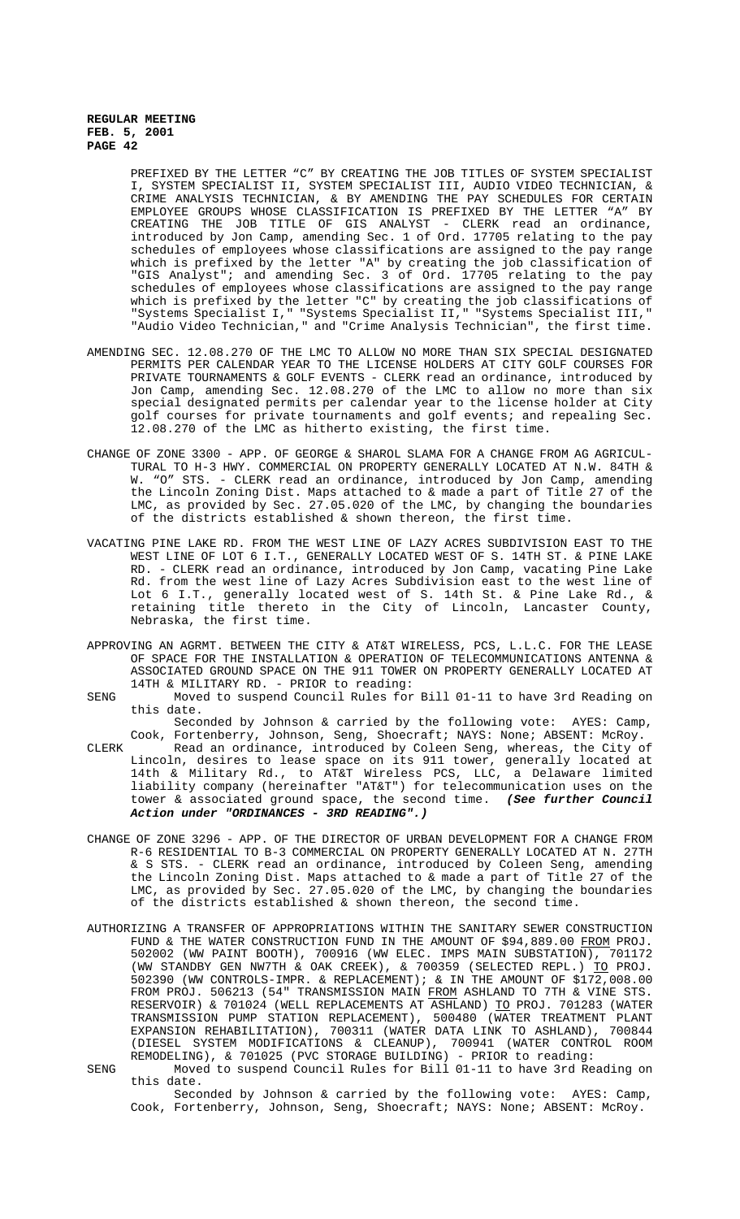> PREFIXED BY THE LETTER "C" BY CREATING THE JOB TITLES OF SYSTEM SPECIALIST I, SYSTEM SPECIALIST II, SYSTEM SPECIALIST III, AUDIO VIDEO TECHNICIAN, & CRIME ANALYSIS TECHNICIAN, & BY AMENDING THE PAY SCHEDULES FOR CERTAIN EMPLOYEE GROUPS WHOSE CLASSIFICATION IS PREFIXED BY THE LETTER "A" BY CREATING THE JOB TITLE OF GIS ANALYST - CLERK read an ordinance, introduced by Jon Camp, amending Sec. 1 of Ord. 17705 relating to the pay schedules of employees whose classifications are assigned to the pay range which is prefixed by the letter "A" by creating the job classification of "GIS Analyst"; and amending Sec. 3 of Ord. 17705 relating to the pay schedules of employees whose classifications are assigned to the pay range which is prefixed by the letter "C" by creating the job classifications of "Systems Specialist I," "Systems Specialist II," "Systems Specialist III," "Audio Video Technician," and "Crime Analysis Technician", the first time.

- AMENDING SEC. 12.08.270 OF THE LMC TO ALLOW NO MORE THAN SIX SPECIAL DESIGNATED PERMITS PER CALENDAR YEAR TO THE LICENSE HOLDERS AT CITY GOLF COURSES FOR PRIVATE TOURNAMENTS & GOLF EVENTS - CLERK read an ordinance, introduced by Jon Camp, amending Sec. 12.08.270 of the LMC to allow no more than six special designated permits per calendar year to the license holder at City golf courses for private tournaments and golf events; and repealing Sec. 12.08.270 of the LMC as hitherto existing, the first time.
- CHANGE OF ZONE 3300 APP. OF GEORGE & SHAROL SLAMA FOR A CHANGE FROM AG AGRICUL-TURAL TO H-3 HWY. COMMERCIAL ON PROPERTY GENERALLY LOCATED AT N.W. 84TH & W. "O" STS. - CLERK read an ordinance, introduced by Jon Camp, amending the Lincoln Zoning Dist. Maps attached to & made a part of Title 27 of the LMC, as provided by Sec. 27.05.020 of the LMC, by changing the boundaries of the districts established & shown thereon, the first time.
- VACATING PINE LAKE RD. FROM THE WEST LINE OF LAZY ACRES SUBDIVISION EAST TO THE WEST LINE OF LOT 6 I.T., GENERALLY LOCATED WEST OF S. 14TH ST. & PINE LAKE RD. - CLERK read an ordinance, introduced by Jon Camp, vacating Pine Lake Rd. from the west line of Lazy Acres Subdivision east to the west line of Lot 6 I.T., generally located west of S. 14th St. & Pine Lake Rd., & retaining title thereto in the City of Lincoln, Lancaster County, Nebraska, the first time.
- APPROVING AN AGRMT. BETWEEN THE CITY & AT&T WIRELESS, PCS, L.L.C. FOR THE LEASE OF SPACE FOR THE INSTALLATION & OPERATION OF TELECOMMUNICATIONS ANTENNA & ASSOCIATED GROUND SPACE ON THE 911 TOWER ON PROPERTY GENERALLY LOCATED AT 14TH & MILITARY RD. - PRIOR to reading:
- SENG Moved to suspend Council Rules for Bill 01-11 to have 3rd Reading on this date.

Seconded by Johnson & carried by the following vote: AYES: Camp,

- Cook, Fortenberry, Johnson, Seng, Shoecraft; NAYS: None; ABSENT: McRoy. CLERK Read an ordinance, introduced by Coleen Seng, whereas, the City of Lincoln, desires to lease space on its 911 tower, generally located at 14th & Military Rd., to AT&T Wireless PCS, LLC, a Delaware limited liability company (hereinafter "AT&T") for telecommunication uses on the tower & associated ground space, the second time. **(See further Council Action under "ORDINANCES - 3RD READING".)**
- CHANGE OF ZONE 3296 APP. OF THE DIRECTOR OF URBAN DEVELOPMENT FOR A CHANGE FROM R-6 RESIDENTIAL TO B-3 COMMERCIAL ON PROPERTY GENERALLY LOCATED AT N. 27TH & S STS. - CLERK read an ordinance, introduced by Coleen Seng, amending the Lincoln Zoning Dist. Maps attached to & made a part of Title 27 of the LMC, as provided by Sec. 27.05.020 of the LMC, by changing the boundaries of the districts established  $\&$  shown thereon, the second time.
- AUTHORIZING A TRANSFER OF APPROPRIATIONS WITHIN THE SANITARY SEWER CONSTRUCTION FUND & THE WATER CONSTRUCTION FUND IN THE AMOUNT OF \$94,889.00 FROM PROJ. 502002 (WW PAINT BOOTH), 700916 (WW ELEC. IMPS MAIN SUBSTATION), 701172 (WW STANDBY GEN NW7TH & OAK CREEK), & 700359 (SELECTED REPL.) TO PROJ. 502390 (WW CONTROLS-IMPR. & REPLACEMENT); & IN THE AMOUNT OF \$172,008.00 FROM PROJ. 506213 (54" TRANSMISSION MAIN FROM ASHLAND TO 7TH & VINE STS. RESERVOIR) & 701024 (WELL REPLACEMENTS AT ASHLAND) <u>TO</u> PROJ. 701283 (WATER TRANSMISSION PUMP STATION REPLACEMENT), 500480 (WATER TREATMENT PLANT EXPANSION REHABILITATION), 700311 (WATER DATA LINK TO ASHLAND), 700844 (DIESEL SYSTEM MODIFICATIONS & CLEANUP), 700941 (WATER CONTROL ROOM REMODELING), & 701025 (PVC STORAGE BUILDING) - PRIOR to reading:
- SENG Moved to suspend Council Rules for Bill 01-11 to have 3rd Reading on this date.

Seconded by Johnson & carried by the following vote: AYES: Camp, Cook, Fortenberry, Johnson, Seng, Shoecraft; NAYS: None; ABSENT: McRoy.